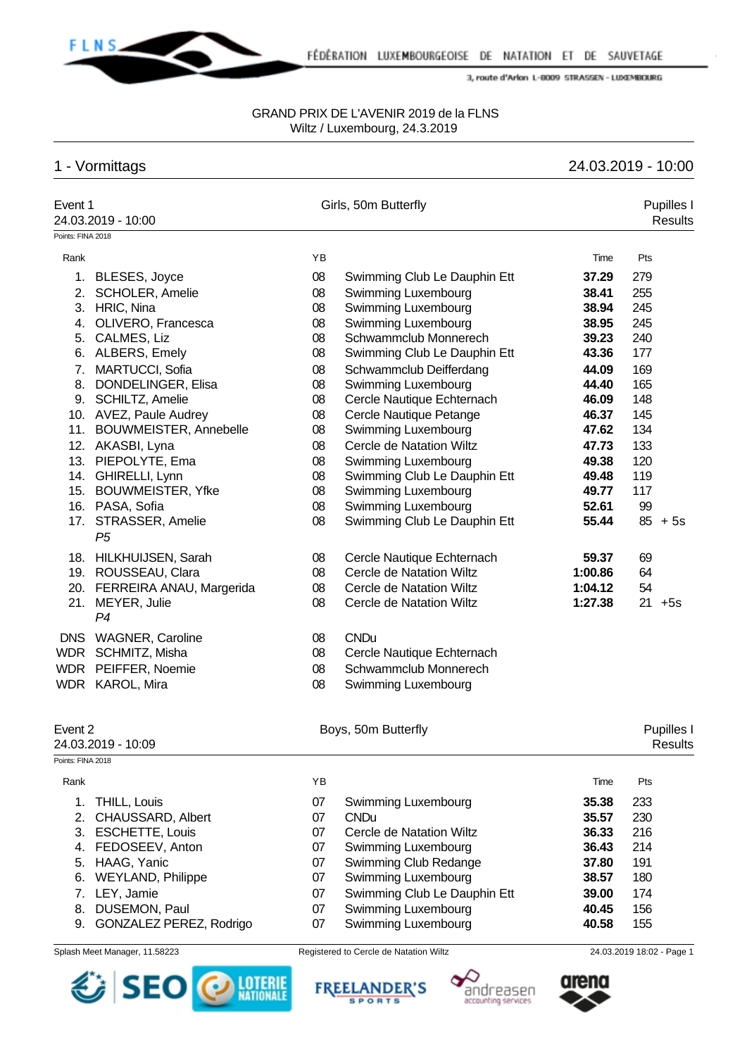

#### GRAND PRIX DE L'AVENIR 2019 de la FLNS Wiltz / Luxembourg, 24.3.2019

# 1 - Vormittags 24.03.2019 - 10:00

| Event 1           | 24.03.2019 - 10:00           |    | Girls, 50m Butterfly            |         | Pupilles I<br>Results |
|-------------------|------------------------------|----|---------------------------------|---------|-----------------------|
| Points: FINA 2018 |                              |    |                                 |         |                       |
| Rank              |                              | YB |                                 | Time    | Pts                   |
| 1.                | BLESES, Joyce                | 08 | Swimming Club Le Dauphin Ett    | 37.29   | 279                   |
| 2.                | SCHOLER, Amelie              | 08 | Swimming Luxembourg             | 38.41   | 255                   |
| 3.                | HRIC, Nina                   | 08 | Swimming Luxembourg             | 38.94   | 245                   |
| 4.                | OLIVERO, Francesca           | 08 | Swimming Luxembourg             | 38.95   | 245                   |
| 5.                | CALMES, Liz                  | 08 | Schwammclub Monnerech           | 39.23   | 240                   |
|                   | 6. ALBERS, Emely             | 08 | Swimming Club Le Dauphin Ett    | 43.36   | 177                   |
| 7.                | MARTUCCI, Sofia              | 08 | Schwammclub Deifferdang         | 44.09   | 169                   |
| 8.                | DONDELINGER, Elisa           | 08 | Swimming Luxembourg             | 44.40   | 165                   |
|                   | 9. SCHILTZ, Amelie           | 08 | Cercle Nautique Echternach      | 46.09   | 148                   |
|                   | 10. AVEZ, Paule Audrey       | 08 | Cercle Nautique Petange         | 46.37   | 145                   |
| 11.               | BOUWMEISTER, Annebelle       | 08 | Swimming Luxembourg             | 47.62   | 134                   |
|                   | 12. AKASBI, Lyna             | 08 | Cercle de Natation Wiltz        | 47.73   | 133                   |
|                   | 13. PIEPOLYTE, Ema           | 08 | Swimming Luxembourg             | 49.38   | 120                   |
|                   | 14. GHIRELLI, Lynn           | 08 | Swimming Club Le Dauphin Ett    | 49.48   | 119                   |
| 15.               | <b>BOUWMEISTER, Yfke</b>     | 08 | Swimming Luxembourg             | 49.77   | 117                   |
|                   | 16. PASA, Sofia              | 08 | Swimming Luxembourg             | 52.61   | 99                    |
|                   | 17. STRASSER, Amelie         | 08 | Swimming Club Le Dauphin Ett    | 55.44   | $85 + 5s$             |
|                   | P <sub>5</sub>               |    |                                 |         |                       |
|                   | 18. HILKHUIJSEN, Sarah       | 08 | Cercle Nautique Echternach      | 59.37   | 69                    |
|                   | 19. ROUSSEAU, Clara          | 08 | <b>Cercle de Natation Wiltz</b> | 1:00.86 | 64                    |
|                   | 20. FERREIRA ANAU, Margerida | 08 | Cercle de Natation Wiltz        | 1:04.12 | 54                    |
|                   | 21. MEYER, Julie             | 08 | Cercle de Natation Wiltz        | 1:27.38 | $21 + 5s$             |
|                   | P4                           |    |                                 |         |                       |
|                   | DNS WAGNER, Caroline         | 08 | <b>CNDu</b>                     |         |                       |
|                   | WDR SCHMITZ, Misha           | 08 | Cercle Nautique Echternach      |         |                       |
|                   | WDR PEIFFER, Noemie          | 08 | Schwammclub Monnerech           |         |                       |
|                   | WDR KAROL, Mira              | 08 | Swimming Luxembourg             |         |                       |
|                   |                              |    |                                 |         |                       |
| Event 2           |                              |    | Boys, 50m Butterfly             |         | Pupilles I            |
|                   | 24.03.2019 - 10:09           |    |                                 |         | <b>Results</b>        |
| Points: FINA 2018 |                              |    |                                 |         |                       |
| Rank              |                              | YB |                                 | Time    | Pts                   |
| 1.                | THILL, Louis                 | 07 | Swimming Luxembourg             | 35.38   | 233                   |
| 2.                | CHAUSSARD, Albert            | 07 | <b>CNDu</b>                     | 35.57   | 230                   |
| 3.                | <b>ESCHETTE, Louis</b>       | 07 | Cercle de Natation Wiltz        | 36.33   | 216                   |
| 4.                | FEDOSEEV, Anton              | 07 | Swimming Luxembourg             | 36.43   | 214                   |
| 5.                | HAAG, Yanic                  | 07 | Swimming Club Redange           | 37.80   | 191                   |
| 6.                | <b>WEYLAND, Philippe</b>     | 07 | Swimming Luxembourg             | 38.57   | 180                   |
| 7.                | LEY, Jamie                   | 07 | Swimming Club Le Dauphin Ett    | 39.00   | 174                   |
| 8.                | DUSEMON, Paul                | 07 | Swimming Luxembourg             | 40.45   | 156                   |

9. GONZALEZ PEREZ, Rodrigo 07 Swimming Luxembourg **40.58** 155







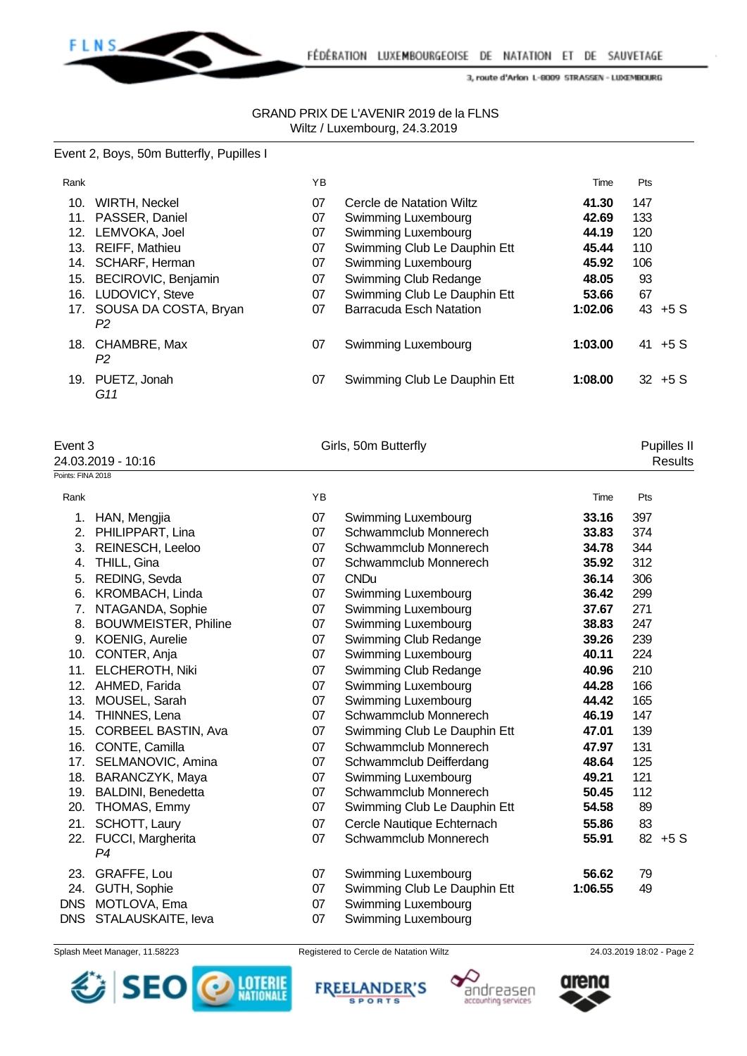

#### GRAND PRIX DE L'AVENIR 2019 de la FLNS Wiltz / Luxembourg, 24.3.2019

#### Event 2, Boys, 50m Butterfly, Pupilles I

| Rank |                                 | YB |                                | Time    | <b>Pts</b> |           |
|------|---------------------------------|----|--------------------------------|---------|------------|-----------|
| 10.  | WIRTH, Neckel                   | 07 | Cercle de Natation Wiltz       | 41.30   | 147        |           |
| 11.  | PASSER, Daniel                  | 07 | Swimming Luxembourg            | 42.69   | 133        |           |
| 12.  | LEMVOKA, Joel                   | 07 | Swimming Luxembourg            | 44.19   | 120        |           |
| 13.  | <b>REIFF, Mathieu</b>           | 07 | Swimming Club Le Dauphin Ett   | 45.44   | 110        |           |
|      | 14. SCHARF, Herman              | 07 | Swimming Luxembourg            | 45.92   | 106        |           |
|      | 15. BECIROVIC, Benjamin         | 07 | Swimming Club Redange          | 48.05   | 93         |           |
| 16.  | <b>LUDOVICY, Steve</b>          | 07 | Swimming Club Le Dauphin Ett   | 53.66   | 67         |           |
|      | 17. SOUSA DA COSTA, Bryan<br>P2 | 07 | <b>Barracuda Esch Natation</b> | 1:02.06 |            | $43 + 5S$ |
|      | 18. CHAMBRE, Max<br>P2          | 07 | Swimming Luxembourg            | 1:03.00 | 41         | +5 S      |
| 19.  | PUETZ, Jonah<br>G11             | 07 | Swimming Club Le Dauphin Ett   | 1:08.00 |            | $32 + 5S$ |

Event 3 Cirls, 50m Butterfly Cirls, 60m Butterfly 24.03.2019 - 10:16 Results

| Points: FINA 2018 |                             |           |                              |         |     |         |
|-------------------|-----------------------------|-----------|------------------------------|---------|-----|---------|
| Rank              |                             | <b>YB</b> |                              | Time    | Pts |         |
| 1.                | HAN, Mengjia                | 07        | Swimming Luxembourg          | 33.16   | 397 |         |
| 2.                | PHILIPPART, Lina            | 07        | Schwammclub Monnerech        | 33.83   | 374 |         |
| 3.                | REINESCH, Leeloo            | 07        | Schwammclub Monnerech        | 34.78   | 344 |         |
| 4.                | THILL, Gina                 | 07        | Schwammclub Monnerech        | 35.92   | 312 |         |
| 5.                | REDING, Sevda               | 07        | <b>CNDu</b>                  | 36.14   | 306 |         |
| 6.                | <b>KROMBACH, Linda</b>      | 07        | Swimming Luxembourg          | 36.42   | 299 |         |
| 7.                | NTAGANDA, Sophie            | 07        | Swimming Luxembourg          | 37.67   | 271 |         |
| 8.                | <b>BOUWMEISTER, Philine</b> | 07        | Swimming Luxembourg          | 38.83   | 247 |         |
|                   | 9. KOENIG, Aurelie          | 07        | Swimming Club Redange        | 39.26   | 239 |         |
| 10.               | CONTER, Anja                | 07        | Swimming Luxembourg          | 40.11   | 224 |         |
| 11.               | ELCHEROTH, Niki             | 07        | Swimming Club Redange        | 40.96   | 210 |         |
| 12.               | AHMED, Farida               | 07        | Swimming Luxembourg          | 44.28   | 166 |         |
| 13.               | MOUSEL, Sarah               | 07        | Swimming Luxembourg          | 44.42   | 165 |         |
| 14.               | THINNES, Lena               | 07        | Schwammclub Monnerech        | 46.19   | 147 |         |
| 15.               | <b>CORBEEL BASTIN, Ava</b>  | 07        | Swimming Club Le Dauphin Ett | 47.01   | 139 |         |
| 16.               | CONTE, Camilla              | 07        | Schwammclub Monnerech        | 47.97   | 131 |         |
| 17.               | SELMANOVIC, Amina           | 07        | Schwammclub Deifferdang      | 48.64   | 125 |         |
| 18.               | BARANCZYK, Maya             | 07        | Swimming Luxembourg          | 49.21   | 121 |         |
| 19.               | BALDINI, Benedetta          | 07        | Schwammclub Monnerech        | 50.45   | 112 |         |
| 20.               | THOMAS, Emmy                | 07        | Swimming Club Le Dauphin Ett | 54.58   | 89  |         |
| 21.               | SCHOTT, Laury               | 07        | Cercle Nautique Echternach   | 55.86   | 83  |         |
| 22.               | FUCCI, Margherita           | 07        | Schwammclub Monnerech        | 55.91   |     | 82 +5 S |
|                   | P <sub>4</sub>              |           |                              |         |     |         |
| 23.               | GRAFFE, Lou                 | 07        | Swimming Luxembourg          | 56.62   | 79  |         |
| 24.               | GUTH, Sophie                | 07        | Swimming Club Le Dauphin Ett | 1:06.55 | 49  |         |
| <b>DNS</b>        | MOTLOVA, Ema                | 07        | Swimming Luxembourg          |         |     |         |
| <b>DNS</b>        | STALAUSKAITE, leva          | 07        | Swimming Luxembourg          |         |     |         |



Splash Meet Manager, 11.58223 Registered to Cercle de Natation Wiltz 24.03.2019 18:02 - Page 2

**FREELANDER'S** 

**SPORTS** 





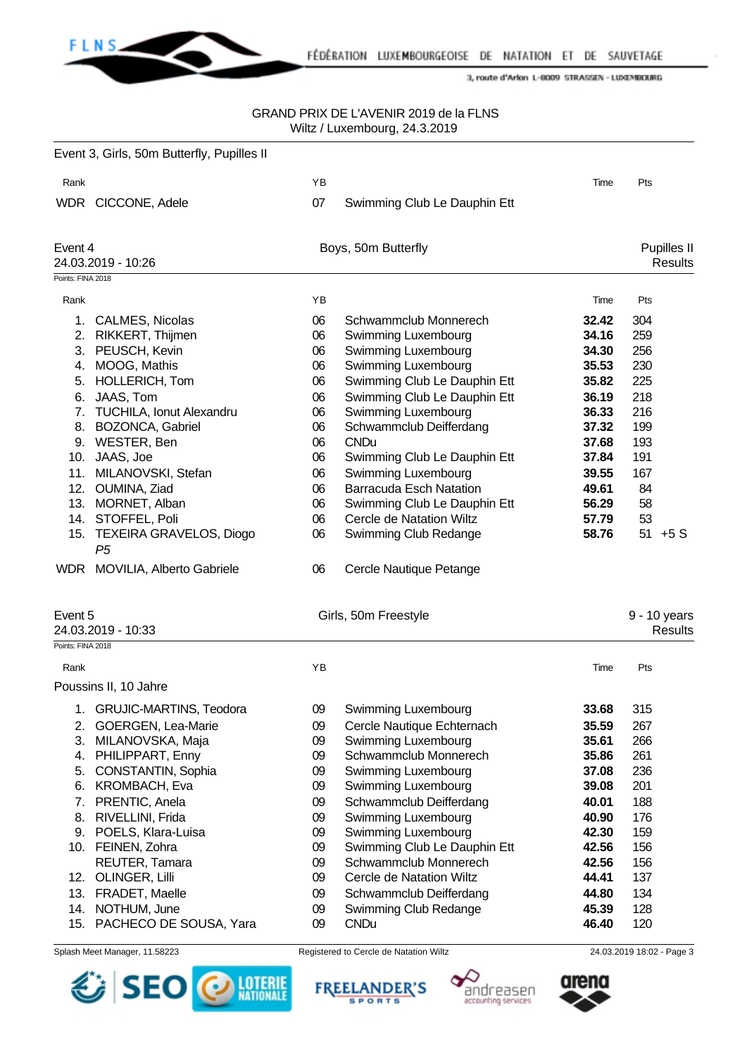

### GRAND PRIX DE L'AVENIR 2019 de la FLNS Wiltz / Luxembourg, 24.3.2019

|                                               | Event 3, Girls, 50m Butterfly, Pupilles II                                                                                                                                                                                                                                                                                                                                         |                                                                                              |                                                                                                                                                                                                                                                                                                                                                                                                                                      |                                                                                                                                     |                                                                                                          |
|-----------------------------------------------|------------------------------------------------------------------------------------------------------------------------------------------------------------------------------------------------------------------------------------------------------------------------------------------------------------------------------------------------------------------------------------|----------------------------------------------------------------------------------------------|--------------------------------------------------------------------------------------------------------------------------------------------------------------------------------------------------------------------------------------------------------------------------------------------------------------------------------------------------------------------------------------------------------------------------------------|-------------------------------------------------------------------------------------------------------------------------------------|----------------------------------------------------------------------------------------------------------|
| Rank                                          |                                                                                                                                                                                                                                                                                                                                                                                    | ΥB                                                                                           |                                                                                                                                                                                                                                                                                                                                                                                                                                      | Time                                                                                                                                | Pts                                                                                                      |
|                                               | WDR CICCONE, Adele                                                                                                                                                                                                                                                                                                                                                                 | 07                                                                                           | Swimming Club Le Dauphin Ett                                                                                                                                                                                                                                                                                                                                                                                                         |                                                                                                                                     |                                                                                                          |
| Event 4                                       | 24.03.2019 - 10:26                                                                                                                                                                                                                                                                                                                                                                 |                                                                                              | Boys, 50m Butterfly                                                                                                                                                                                                                                                                                                                                                                                                                  |                                                                                                                                     | <b>Pupilles II</b><br><b>Results</b>                                                                     |
| Points: FINA 2018                             |                                                                                                                                                                                                                                                                                                                                                                                    |                                                                                              |                                                                                                                                                                                                                                                                                                                                                                                                                                      |                                                                                                                                     |                                                                                                          |
| Rank                                          |                                                                                                                                                                                                                                                                                                                                                                                    | ΥB                                                                                           |                                                                                                                                                                                                                                                                                                                                                                                                                                      | Time                                                                                                                                | Pts                                                                                                      |
| 5.<br>6.<br>7.<br>11.                         | 1. CALMES, Nicolas<br>2. RIKKERT, Thijmen<br>3. PEUSCH, Kevin<br>4. MOOG, Mathis<br>HOLLERICH, Tom<br>JAAS, Tom<br><b>TUCHILA, Ionut Alexandru</b><br>8. BOZONCA, Gabriel<br>9. WESTER, Ben<br>10. JAAS, Joe<br>MILANOVSKI, Stefan<br>12. OUMINA, Ziad<br>13. MORNET, Alban<br>14. STOFFEL, Poli<br>15. TEXEIRA GRAVELOS, Diogo<br>P <sub>5</sub><br>WDR MOVILIA, Alberto Gabriele | 06<br>06<br>06<br>06<br>06<br>06<br>06<br>06<br>06<br>06<br>06<br>06<br>06<br>06<br>06<br>06 | Schwammclub Monnerech<br>Swimming Luxembourg<br>Swimming Luxembourg<br>Swimming Luxembourg<br>Swimming Club Le Dauphin Ett<br>Swimming Club Le Dauphin Ett<br>Swimming Luxembourg<br>Schwammclub Deifferdang<br><b>CNDu</b><br>Swimming Club Le Dauphin Ett<br>Swimming Luxembourg<br><b>Barracuda Esch Natation</b><br>Swimming Club Le Dauphin Ett<br>Cercle de Natation Wiltz<br>Swimming Club Redange<br>Cercle Nautique Petange | 32.42<br>34.16<br>34.30<br>35.53<br>35.82<br>36.19<br>36.33<br>37.32<br>37.68<br>37.84<br>39.55<br>49.61<br>56.29<br>57.79<br>58.76 | 304<br>259<br>256<br>230<br>225<br>218<br>216<br>199<br>193<br>191<br>167<br>84<br>58<br>53<br>$51 + 5S$ |
| Event 5                                       | 24.03.2019 - 10:33                                                                                                                                                                                                                                                                                                                                                                 |                                                                                              | Girls, 50m Freestyle                                                                                                                                                                                                                                                                                                                                                                                                                 |                                                                                                                                     | 9 - 10 years<br><b>Results</b>                                                                           |
| Points: FINA 2018                             |                                                                                                                                                                                                                                                                                                                                                                                    |                                                                                              |                                                                                                                                                                                                                                                                                                                                                                                                                                      |                                                                                                                                     |                                                                                                          |
| Rank                                          |                                                                                                                                                                                                                                                                                                                                                                                    | YB                                                                                           |                                                                                                                                                                                                                                                                                                                                                                                                                                      | Time                                                                                                                                | Pts                                                                                                      |
|                                               | Poussins II, 10 Jahre                                                                                                                                                                                                                                                                                                                                                              |                                                                                              |                                                                                                                                                                                                                                                                                                                                                                                                                                      |                                                                                                                                     |                                                                                                          |
| 1.<br>2.<br>3.<br>5.<br>6.<br>7.<br>8.<br>13. | GRUJIC-MARTINS, Teodora<br>GOERGEN, Lea-Marie<br>MILANOVSKA, Maja<br>4. PHILIPPART, Enny<br>CONSTANTIN, Sophia<br><b>KROMBACH, Eva</b><br>PRENTIC, Anela<br>RIVELLINI, Frida<br>9. POELS, Klara-Luisa<br>10. FEINEN, Zohra<br>REUTER, Tamara<br>12. OLINGER, Lilli<br>FRADET, Maelle                                                                                               | 09<br>09<br>09<br>09<br>09<br>09<br>09<br>09<br>09<br>09<br>09<br>09<br>09                   | Swimming Luxembourg<br>Cercle Nautique Echternach<br>Swimming Luxembourg<br>Schwammclub Monnerech<br>Swimming Luxembourg<br>Swimming Luxembourg<br>Schwammclub Deifferdang<br>Swimming Luxembourg<br>Swimming Luxembourg<br>Swimming Club Le Dauphin Ett<br>Schwammclub Monnerech<br>Cercle de Natation Wiltz<br>Schwammclub Deifferdang                                                                                             | 33.68<br>35.59<br>35.61<br>35.86<br>37.08<br>39.08<br>40.01<br>40.90<br>42.30<br>42.56<br>42.56<br>44.41<br>44.80                   | 315<br>267<br>266<br>261<br>236<br>201<br>188<br>176<br>159<br>156<br>156<br>137<br>134                  |
|                                               | 14. NOTHUM, June<br>15. PACHECO DE SOUSA, Yara                                                                                                                                                                                                                                                                                                                                     | 09<br>09                                                                                     | Swimming Club Redange<br><b>CNDu</b>                                                                                                                                                                                                                                                                                                                                                                                                 | 45.39<br>46.40                                                                                                                      | 128<br>120                                                                                               |



Splash Meet Manager, 11.58223 Registered to Cercle de Natation Wiltz 24.03.2019 18:02 - Page 3

FREELANDER'S



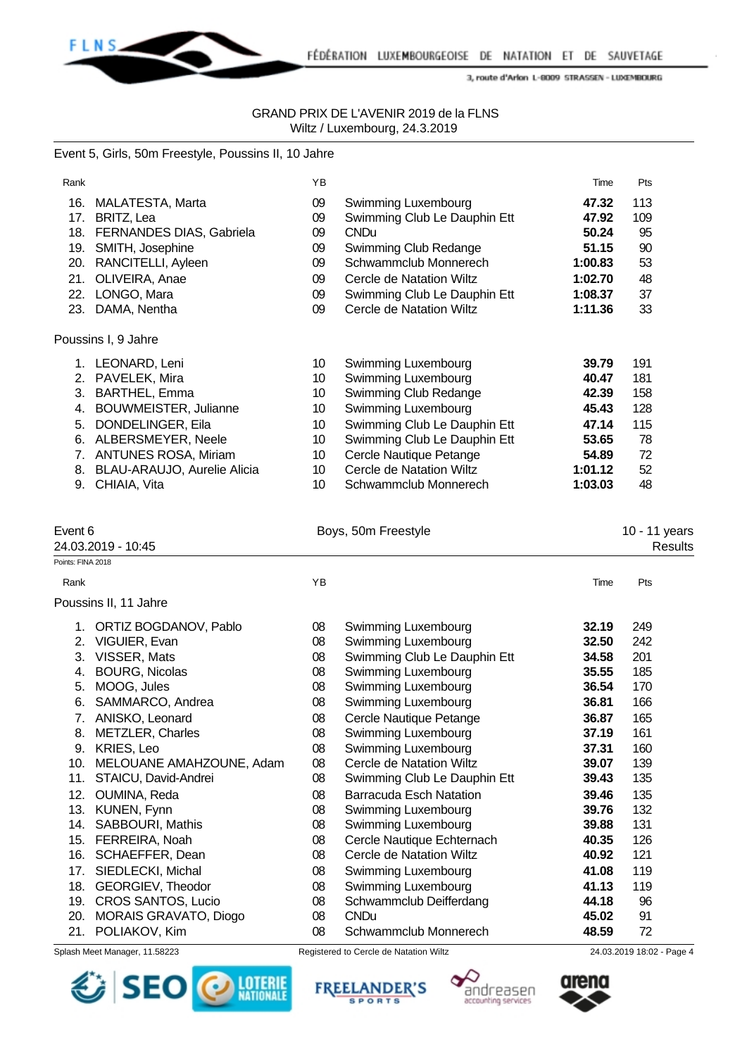

# GRAND PRIX DE L'AVENIR 2019 de la FLNS Wiltz / Luxembourg, 24.3.2019

#### Event 5, Girls, 50m Freestyle, Poussins II, 10 Jahre

| Rank              |                                | YB |                                | Time    | Pts                      |  |
|-------------------|--------------------------------|----|--------------------------------|---------|--------------------------|--|
|                   | 16. MALATESTA, Marta           | 09 | Swimming Luxembourg            | 47.32   | 113                      |  |
|                   | 17. BRITZ, Lea                 | 09 | Swimming Club Le Dauphin Ett   | 47.92   | 109                      |  |
|                   | 18. FERNANDES DIAS, Gabriela   | 09 | <b>CNDu</b>                    | 50.24   | 95                       |  |
|                   | 19. SMITH, Josephine           | 09 | Swimming Club Redange          | 51.15   | 90                       |  |
|                   | 20. RANCITELLI, Ayleen         | 09 | Schwammclub Monnerech          | 1:00.83 | 53                       |  |
|                   | 21. OLIVEIRA, Anae             | 09 | Cercle de Natation Wiltz       | 1:02.70 | 48                       |  |
|                   | 22. LONGO, Mara                | 09 | Swimming Club Le Dauphin Ett   | 1:08.37 | 37                       |  |
|                   | 23. DAMA, Nentha               | 09 | Cercle de Natation Wiltz       | 1:11.36 | 33                       |  |
|                   | Poussins I, 9 Jahre            |    |                                |         |                          |  |
|                   | 1. LEONARD, Leni               | 10 | Swimming Luxembourg            | 39.79   | 191                      |  |
|                   | 2. PAVELEK, Mira               | 10 | Swimming Luxembourg            | 40.47   | 181                      |  |
|                   | 3. BARTHEL, Emma               | 10 | Swimming Club Redange          | 42.39   | 158                      |  |
| 4.                | <b>BOUWMEISTER, Julianne</b>   | 10 | Swimming Luxembourg            | 45.43   | 128                      |  |
| 5.                | DONDELINGER, Eila              | 10 | Swimming Club Le Dauphin Ett   | 47.14   | 115                      |  |
|                   | 6. ALBERSMEYER, Neele          | 10 | Swimming Club Le Dauphin Ett   | 53.65   | 78                       |  |
|                   | 7. ANTUNES ROSA, Miriam        | 10 | Cercle Nautique Petange        | 54.89   | 72                       |  |
|                   | 8. BLAU-ARAUJO, Aurelie Alicia | 10 | Cercle de Natation Wiltz       | 1:01.12 | 52                       |  |
|                   | 9. CHIAIA, Vita                | 10 | Schwammclub Monnerech          | 1:03.03 | 48                       |  |
|                   |                                |    |                                |         |                          |  |
| Event 6           | 24.03.2019 - 10:45             |    | Boys, 50m Freestyle            |         | 10 - 11 years<br>Results |  |
| Points: FINA 2018 |                                |    |                                |         |                          |  |
| Rank              |                                | YB |                                | Time    | Pts                      |  |
|                   |                                |    |                                |         |                          |  |
|                   |                                |    |                                |         |                          |  |
|                   | Poussins II, 11 Jahre          |    |                                |         |                          |  |
|                   | 1. ORTIZ BOGDANOV, Pablo       | 08 | Swimming Luxembourg            | 32.19   | 249                      |  |
|                   | 2. VIGUIER, Evan               | 08 | Swimming Luxembourg            | 32.50   | 242                      |  |
|                   | 3. VISSER, Mats                | 08 | Swimming Club Le Dauphin Ett   | 34.58   | 201                      |  |
|                   | 4. BOURG, Nicolas              | 08 | Swimming Luxembourg            | 35.55   | 185                      |  |
| 5.                | MOOG, Jules                    | 08 | Swimming Luxembourg            | 36.54   | 170                      |  |
|                   | 6. SAMMARCO, Andrea            | 08 | Swimming Luxembourg            | 36.81   | 166                      |  |
|                   | 7. ANISKO, Leonard             | 08 | Cercle Nautique Petange        | 36.87   | 165                      |  |
| 8.                | <b>METZLER, Charles</b>        | 08 | Swimming Luxembourg            | 37.19   | 161                      |  |
|                   | 9. KRIES, Leo                  | 08 | Swimming Luxembourg            | 37.31   | 160                      |  |
|                   | 10. MELOUANE AMAHZOUNE, Adam   | 08 | Cercle de Natation Wiltz       | 39.07   | 139                      |  |
| 11.               | STAICU, David-Andrei           | 08 | Swimming Club Le Dauphin Ett   | 39.43   | 135                      |  |
|                   | 12. OUMINA, Reda               | 08 | <b>Barracuda Esch Natation</b> | 39.46   | 135                      |  |
|                   | 13. KUNEN, Fynn                | 08 | Swimming Luxembourg            | 39.76   | 132                      |  |
|                   | 14. SABBOURI, Mathis           | 08 | Swimming Luxembourg            | 39.88   | 131                      |  |
|                   | 15. FERREIRA, Noah             | 08 | Cercle Nautique Echternach     | 40.35   | 126                      |  |
|                   | 16. SCHAEFFER, Dean            | 08 | Cercle de Natation Wiltz       | 40.92   | 121                      |  |
|                   | 17. SIEDLECKI, Michal          | 08 | Swimming Luxembourg            | 41.08   | 119                      |  |
|                   | 18. GEORGIEV, Theodor          | 08 | Swimming Luxembourg            | 41.13   | 119                      |  |
|                   | 19. CROS SANTOS, Lucio         | 08 | Schwammclub Deifferdang        | 44.18   | 96                       |  |
|                   | 20. MORAIS GRAVATO, Diogo      | 08 | <b>CNDu</b>                    | 45.02   | 91                       |  |









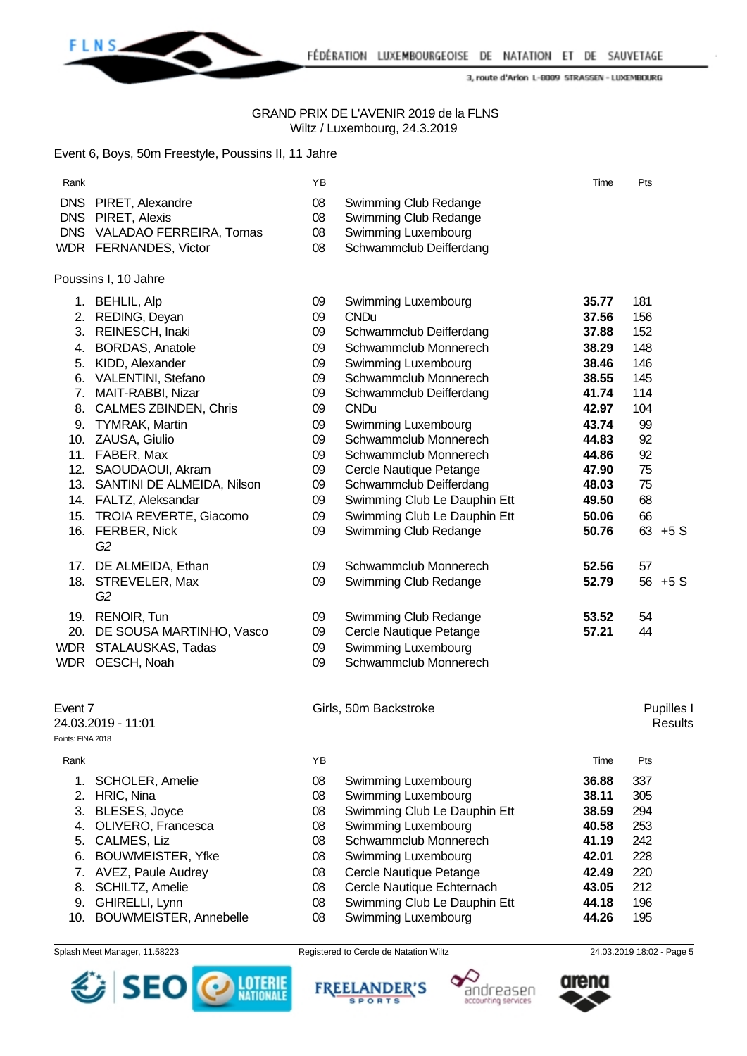

FÉDÉRATION LUXEMBOURGEOISE DE NATATION ET DE SAUVETAGE

3, route d'Arlon L-8009 STRASSEN - LUXEMBOURG

### GRAND PRIX DE L'AVENIR 2019 de la FLNS Wiltz / Luxembourg, 24.3.2019

|                   | Event 6, Boys, 50m Freestyle, Poussins II, 11 Jahre |    |                              |       |     |                       |
|-------------------|-----------------------------------------------------|----|------------------------------|-------|-----|-----------------------|
| Rank              |                                                     | YB |                              | Time  | Pts |                       |
|                   | DNS PIRET, Alexandre                                | 08 | Swimming Club Redange        |       |     |                       |
|                   | DNS PIRET, Alexis                                   | 08 | Swimming Club Redange        |       |     |                       |
|                   | DNS VALADAO FERREIRA, Tomas                         | 08 | Swimming Luxembourg          |       |     |                       |
|                   | WDR FERNANDES, Victor                               | 08 | Schwammclub Deifferdang      |       |     |                       |
|                   | Poussins I, 10 Jahre                                |    |                              |       |     |                       |
|                   | 1. BEHLIL, Alp                                      | 09 | Swimming Luxembourg          | 35.77 | 181 |                       |
|                   | 2. REDING, Deyan                                    | 09 | <b>CNDu</b>                  | 37.56 | 156 |                       |
|                   | 3. REINESCH, Inaki                                  | 09 | Schwammclub Deifferdang      | 37.88 | 152 |                       |
|                   | 4. BORDAS, Anatole                                  | 09 | Schwammclub Monnerech        | 38.29 | 148 |                       |
|                   | 5. KIDD, Alexander                                  | 09 | Swimming Luxembourg          | 38.46 | 146 |                       |
|                   | 6. VALENTINI, Stefano                               | 09 | Schwammclub Monnerech        | 38.55 | 145 |                       |
|                   | 7. MAIT-RABBI, Nizar                                | 09 | Schwammclub Deifferdang      | 41.74 | 114 |                       |
|                   | 8. CALMES ZBINDEN, Chris                            | 09 | <b>CNDu</b>                  | 42.97 | 104 |                       |
|                   | 9. TYMRAK, Martin                                   | 09 | Swimming Luxembourg          | 43.74 | 99  |                       |
|                   | 10. ZAUSA, Giulio                                   | 09 | Schwammclub Monnerech        | 44.83 | 92  |                       |
|                   | 11. FABER, Max                                      | 09 | Schwammclub Monnerech        | 44.86 | 92  |                       |
|                   | 12. SAOUDAOUI, Akram                                | 09 | Cercle Nautique Petange      | 47.90 | 75  |                       |
|                   | 13. SANTINI DE ALMEIDA, Nilson                      | 09 | Schwammclub Deifferdang      | 48.03 | 75  |                       |
|                   | 14. FALTZ, Aleksandar                               | 09 | Swimming Club Le Dauphin Ett | 49.50 | 68  |                       |
|                   | 15. TROIA REVERTE, Giacomo                          | 09 | Swimming Club Le Dauphin Ett | 50.06 | 66  |                       |
|                   | 16. FERBER, Nick<br>G <sub>2</sub>                  | 09 | Swimming Club Redange        | 50.76 |     | $63 + 5S$             |
|                   | 17. DE ALMEIDA, Ethan                               | 09 | Schwammclub Monnerech        | 52.56 | 57  |                       |
|                   | 18. STREVELER, Max<br>G <sub>2</sub>                | 09 | Swimming Club Redange        | 52.79 |     | 56 +5 S               |
|                   | 19. RENOIR, Tun                                     | 09 | Swimming Club Redange        | 53.52 | 54  |                       |
|                   | 20. DE SOUSA MARTINHO, Vasco                        | 09 | Cercle Nautique Petange      | 57.21 | 44  |                       |
|                   | WDR STALAUSKAS, Tadas                               | 09 | Swimming Luxembourg          |       |     |                       |
|                   | WDR OESCH, Noah                                     | 09 | Schwammclub Monnerech        |       |     |                       |
| Event 7           |                                                     |    | Girls, 50m Backstroke        |       |     |                       |
|                   | 24.03.2019 - 11:01                                  |    |                              |       |     | Pupilles I<br>Results |
| Points: FINA 2018 |                                                     |    |                              |       |     |                       |
| Rank              |                                                     | YB |                              | Time  | Pts |                       |
|                   | 1. SCHOLER, Amelie                                  | 08 | Swimming Luxembourg          | 36.88 | 337 |                       |
|                   | 2. HRIC, Nina                                       | 08 | Swimming Luxembourg          | 38.11 | 305 |                       |
|                   | 3. BLESES, Joyce                                    | 08 | Swimming Club Le Dauphin Ett | 38.59 | 294 |                       |
|                   | 4. OLIVERO, Francesca                               | 08 | Swimming Luxembourg          | 40.58 | 253 |                       |
|                   | 5. CALMES, Liz                                      | 08 | Schwammclub Monnerech        | 41.19 | 242 |                       |

- 6. BOUWMEISTER, Yfke 08 Swimming Luxembourg **42.01** 228
- 7. AVEZ, Paule Audrey 08 Cercle Nautique Petange **42.49** 220
- 8. SCHILTZ, Amelie 08 Cercle Nautique Echternach **43.05** 212
- 
- 9. GHIRELLI, Lynn **44.18**<br>19. BOUWMEISTER. Annebelle 108 Swimming Luxembourg 14.26 10. BOUWMEISTER, Annebelle 08 Swimming Luxembourg **44.26** 195







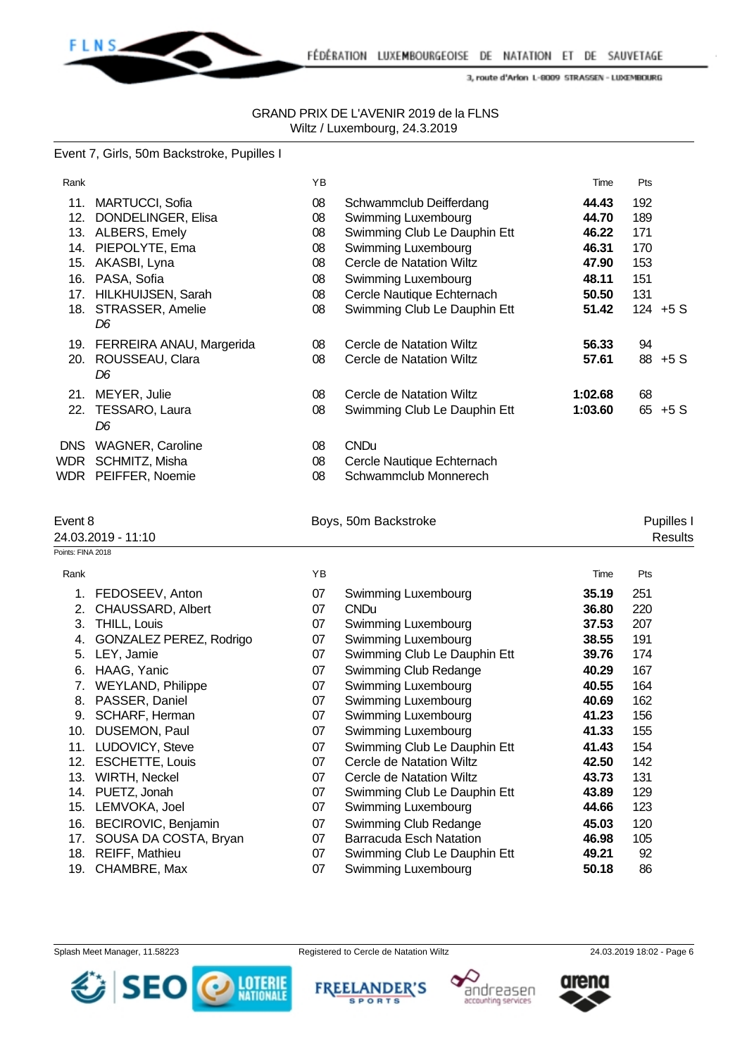

#### GRAND PRIX DE L'AVENIR 2019 de la FLNS Wiltz / Luxembourg, 24.3.2019

#### Event 7, Girls, 50m Backstroke, Pupilles I

| Rank                         |                                                                                                                                                                                                                                                                                         | YB                                                                         |                                                                                                                                                                                                                                                                                                                                             | Time                                                                                                              | Pts                                                                                     |
|------------------------------|-----------------------------------------------------------------------------------------------------------------------------------------------------------------------------------------------------------------------------------------------------------------------------------------|----------------------------------------------------------------------------|---------------------------------------------------------------------------------------------------------------------------------------------------------------------------------------------------------------------------------------------------------------------------------------------------------------------------------------------|-------------------------------------------------------------------------------------------------------------------|-----------------------------------------------------------------------------------------|
|                              | 11. MARTUCCI, Sofia<br>12. DONDELINGER, Elisa<br>13. ALBERS, Emely<br>14. PIEPOLYTE, Ema<br>15. AKASBI, Lyna<br>16. PASA, Sofia<br>17. HILKHUIJSEN, Sarah<br>18. STRASSER, Amelie                                                                                                       | 08<br>08<br>08<br>08<br>08<br>08<br>08<br>08                               | Schwammclub Deifferdang<br>Swimming Luxembourg<br>Swimming Club Le Dauphin Ett<br>Swimming Luxembourg<br>Cercle de Natation Wiltz<br><b>Swimming Luxembourg</b><br>Cercle Nautique Echternach<br>Swimming Club Le Dauphin Ett                                                                                                               | 44.43<br>44.70<br>46.22<br>46.31<br>47.90<br>48.11<br>50.50<br>51.42                                              | 192<br>189<br>171<br>170<br>153<br>151<br>131<br>$124 + 5S$                             |
|                              | D <sub>6</sub><br>19. FERREIRA ANAU, Margerida                                                                                                                                                                                                                                          | 08                                                                         | Cercle de Natation Wiltz                                                                                                                                                                                                                                                                                                                    | 56.33                                                                                                             | 94                                                                                      |
|                              | 20. ROUSSEAU, Clara<br>D <sub>6</sub>                                                                                                                                                                                                                                                   | 08                                                                         | Cercle de Natation Wiltz                                                                                                                                                                                                                                                                                                                    | 57.61                                                                                                             | 88 +5 S                                                                                 |
|                              | 21. MEYER, Julie<br>22. TESSARO, Laura<br>D <sub>6</sub>                                                                                                                                                                                                                                | 08<br>08                                                                   | Cercle de Natation Wiltz<br>Swimming Club Le Dauphin Ett                                                                                                                                                                                                                                                                                    | 1:02.68<br>1:03.60                                                                                                | 68<br>$65 + 5S$                                                                         |
|                              | DNS WAGNER, Caroline                                                                                                                                                                                                                                                                    | 08                                                                         | <b>CNDu</b>                                                                                                                                                                                                                                                                                                                                 |                                                                                                                   |                                                                                         |
|                              | WDR SCHMITZ, Misha<br>WDR PEIFFER, Noemie                                                                                                                                                                                                                                               | 08<br>08                                                                   | Cercle Nautique Echternach<br>Schwammclub Monnerech                                                                                                                                                                                                                                                                                         |                                                                                                                   |                                                                                         |
| Event 8<br>Points: FINA 2018 | 24.03.2019 - 11:10                                                                                                                                                                                                                                                                      |                                                                            | Boys, 50m Backstroke                                                                                                                                                                                                                                                                                                                        |                                                                                                                   | Pupilles I<br><b>Results</b>                                                            |
| Rank                         |                                                                                                                                                                                                                                                                                         | YB                                                                         |                                                                                                                                                                                                                                                                                                                                             | Time                                                                                                              | Pts                                                                                     |
| 12.<br>13.                   | 1. FEDOSEEV, Anton<br>2. CHAUSSARD, Albert<br>3. THILL, Louis<br>4. GONZALEZ PEREZ, Rodrigo<br>5. LEY, Jamie<br>6. HAAG, Yanic<br>7. WEYLAND, Philippe<br>8. PASSER, Daniel<br>9. SCHARF, Herman<br>10. DUSEMON, Paul<br>11. LUDOVICY, Steve<br><b>ESCHETTE, Louis</b><br>WIRTH, Neckel | 07<br>07<br>07<br>07<br>07<br>07<br>07<br>07<br>07<br>07<br>07<br>07<br>07 | <b>Swimming Luxembourg</b><br><b>CNDu</b><br>Swimming Luxembourg<br>Swimming Luxembourg<br>Swimming Club Le Dauphin Ett<br>Swimming Club Redange<br>Swimming Luxembourg<br>Swimming Luxembourg<br>Swimming Luxembourg<br>Swimming Luxembourg<br>Swimming Club Le Dauphin Ett<br><b>Cercle de Natation Wiltz</b><br>Cercle de Natation Wiltz | 35.19<br>36.80<br>37.53<br>38.55<br>39.76<br>40.29<br>40.55<br>40.69<br>41.23<br>41.33<br>41.43<br>42.50<br>43.73 | 251<br>220<br>207<br>191<br>174<br>167<br>164<br>162<br>156<br>155<br>154<br>142<br>131 |
| 14.                          | PUETZ, Jonah                                                                                                                                                                                                                                                                            | 07                                                                         | Swimming Club Le Dauphin Ett                                                                                                                                                                                                                                                                                                                | 43.89                                                                                                             | 129                                                                                     |
| 15.<br>16.                   | LEMVOKA, Joel<br>BECIROVIC, Benjamin                                                                                                                                                                                                                                                    | 07<br>07                                                                   | Swimming Luxembourg<br>Swimming Club Redange                                                                                                                                                                                                                                                                                                | 44.66<br>45.03                                                                                                    | 123<br>120                                                                              |
| 17.                          | SOUSA DA COSTA, Bryan                                                                                                                                                                                                                                                                   | 07                                                                         | <b>Barracuda Esch Natation</b>                                                                                                                                                                                                                                                                                                              | 46.98                                                                                                             | 105                                                                                     |
| 18.                          | <b>REIFF, Mathieu</b>                                                                                                                                                                                                                                                                   | 07                                                                         | Swimming Club Le Dauphin Ett                                                                                                                                                                                                                                                                                                                | 49.21                                                                                                             | 92                                                                                      |
| 19.                          | CHAMBRE, Max                                                                                                                                                                                                                                                                            | 07                                                                         | Swimming Luxembourg                                                                                                                                                                                                                                                                                                                         | 50.18                                                                                                             | 86                                                                                      |

Splash Meet Manager, 11.58223 Registered to Cercle de Natation Wiltz 24.03.2019 18:02 - Page 6









andreasen

accounting services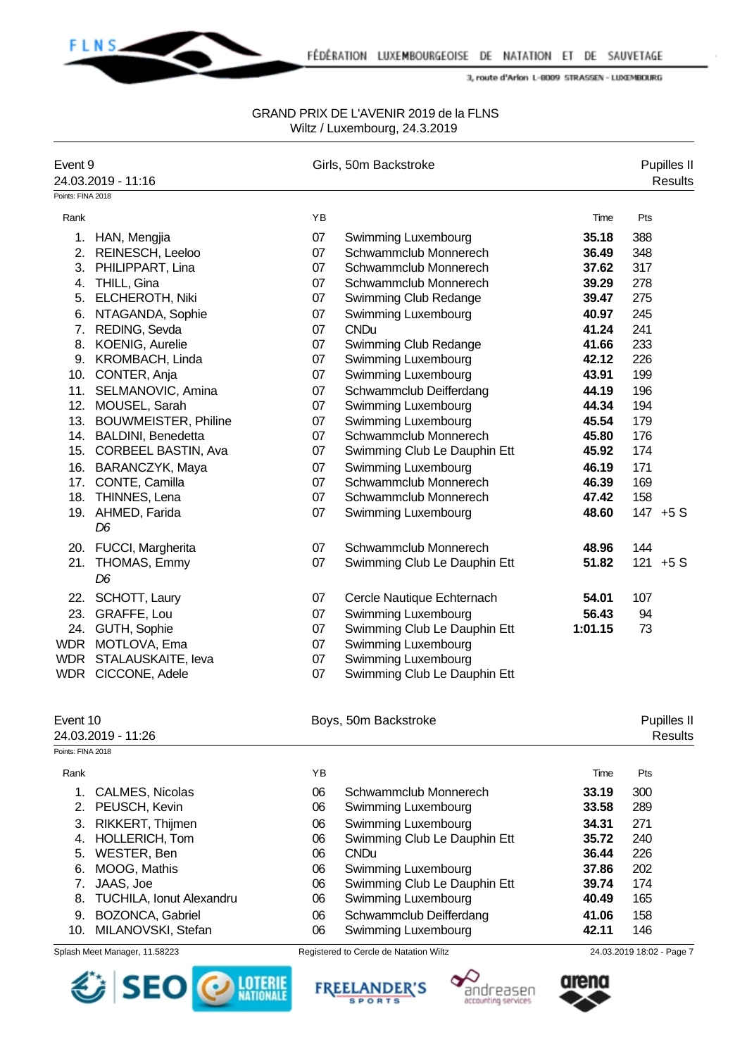

| Event 9           |                                      |          | Girls, 50m Backstroke                      |         | <b>Pupilles II</b>            |
|-------------------|--------------------------------------|----------|--------------------------------------------|---------|-------------------------------|
|                   | 24.03.2019 - 11:16                   |          |                                            |         | <b>Results</b>                |
| Points: FINA 2018 |                                      |          |                                            |         |                               |
| Rank              |                                      | YB       |                                            | Time    | Pts                           |
|                   | 1. HAN, Mengjia                      | 07       | Swimming Luxembourg                        | 35.18   | 388                           |
|                   | 2. REINESCH, Leeloo                  | 07       | Schwammclub Monnerech                      | 36.49   | 348                           |
|                   | 3. PHILIPPART, Lina                  | 07       | Schwammclub Monnerech                      | 37.62   | 317                           |
|                   | 4. THILL, Gina                       | 07       | Schwammclub Monnerech                      | 39.29   | 278                           |
|                   | 5. ELCHEROTH, Niki                   | 07       | Swimming Club Redange                      | 39.47   | 275                           |
|                   | 6. NTAGANDA, Sophie                  | 07       | Swimming Luxembourg                        | 40.97   | 245                           |
|                   | 7. REDING, Sevda                     | 07       | <b>CNDu</b>                                | 41.24   | 241                           |
|                   | 8. KOENIG, Aurelie                   | 07       | Swimming Club Redange                      | 41.66   | 233                           |
|                   | 9. KROMBACH, Linda                   | 07       | Swimming Luxembourg                        | 42.12   | 226                           |
|                   | 10. CONTER, Anja                     | 07       | Swimming Luxembourg                        | 43.91   | 199                           |
|                   | 11. SELMANOVIC, Amina                | 07       | Schwammclub Deifferdang                    | 44.19   | 196                           |
|                   | 12. MOUSEL, Sarah                    | 07       | Swimming Luxembourg                        | 44.34   | 194                           |
|                   | 13. BOUWMEISTER, Philine             | 07       | Swimming Luxembourg                        | 45.54   | 179                           |
|                   | 14. BALDINI, Benedetta               | 07       | Schwammclub Monnerech                      | 45.80   | 176                           |
|                   | 15. CORBEEL BASTIN, Ava              | 07       | Swimming Club Le Dauphin Ett               | 45.92   | 174                           |
|                   | 16. BARANCZYK, Maya                  | 07       | Swimming Luxembourg                        | 46.19   | 171                           |
|                   | 17. CONTE, Camilla                   | 07       | Schwammclub Monnerech                      | 46.39   | 169                           |
|                   | 18. THINNES, Lena                    | 07       | Schwammclub Monnerech                      | 47.42   | 158                           |
|                   | 19. AHMED, Farida                    | 07       | Swimming Luxembourg                        | 48.60   | 147 +5 S                      |
|                   | D <sub>6</sub>                       |          |                                            |         |                               |
|                   | 20. FUCCI, Margherita                | 07       | Schwammclub Monnerech                      | 48.96   | 144                           |
|                   | 21. THOMAS, Emmy                     | 07       | Swimming Club Le Dauphin Ett               | 51.82   | $121 + 5S$                    |
|                   | D <sub>6</sub>                       |          |                                            |         |                               |
|                   |                                      |          |                                            |         |                               |
| 22.               | SCHOTT, Laury                        | 07       | Cercle Nautique Echternach                 | 54.01   | 107                           |
|                   | 23. GRAFFE, Lou                      | 07       | Swimming Luxembourg                        | 56.43   | 94                            |
|                   | 24. GUTH, Sophie<br>WDR MOTLOVA, Ema | 07       | Swimming Club Le Dauphin Ett               | 1:01.15 | 73                            |
|                   |                                      | 07<br>07 | Swimming Luxembourg<br>Swimming Luxembourg |         |                               |
|                   | WDR STALAUSKAITE, leva               | 07       | Swimming Club Le Dauphin Ett               |         |                               |
|                   | WDR CICCONE, Adele                   |          |                                            |         |                               |
|                   |                                      |          |                                            |         |                               |
| Event 10          | 24.03.2019 - 11:26                   |          | Boys, 50m Backstroke                       |         | Pupilles II<br><b>Results</b> |
| Points: FINA 2018 |                                      |          |                                            |         |                               |
| Rank              |                                      | YB       |                                            | Time    | Pts                           |
| 1.                |                                      | 06       | Schwammclub Monnerech                      | 33.19   | 300                           |
| 2.                | CALMES, Nicolas<br>PEUSCH, Kevin     | 06       | Swimming Luxembourg                        | 33.58   | 289                           |
|                   | RIKKERT, Thijmen                     | 06       | Swimming Luxembourg                        | 34.31   | 271                           |
| 3.<br>4.          | HOLLERICH, Tom                       | 06       | Swimming Club Le Dauphin Ett               | 35.72   | 240                           |
| 5.                | WESTER, Ben                          | 06       | <b>CNDu</b>                                | 36.44   | 226                           |
| 6.                | MOOG, Mathis                         | 06       | Swimming Luxembourg                        | 37.86   | 202                           |
| 7.                | JAAS, Joe                            | 06       | Swimming Club Le Dauphin Ett               | 39.74   | 174                           |
| 8.                | TUCHILA, Ionut Alexandru             | 06       | Swimming Luxembourg                        | 40.49   | 165                           |
| 9.                | BOZONCA, Gabriel                     | 06       | Schwammclub Deifferdang                    | 41.06   | 158                           |
| 10.               | MILANOVSKI, Stefan                   | 06       | Swimming Luxembourg                        | 42.11   | 146                           |
|                   |                                      |          |                                            |         |                               |
|                   | Splash Meet Manager, 11.58223        |          | Registered to Cercle de Natation Wiltz     |         | 24.03.2019 18:02 - Page 7     |







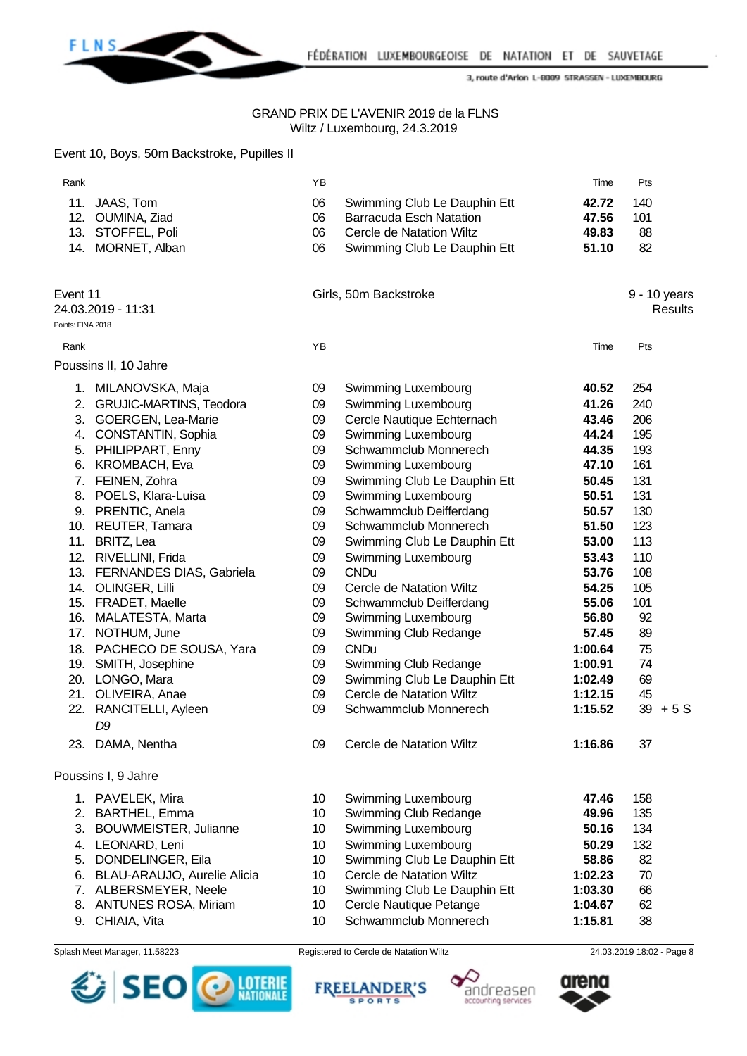

|                           | Event 10, Boys, 50m Backstroke, Pupilles II |          |                                                   |                |     |                         |
|---------------------------|---------------------------------------------|----------|---------------------------------------------------|----------------|-----|-------------------------|
| Rank                      |                                             | YB       |                                                   | Time           | Pts |                         |
|                           | 11. JAAS, Tom                               | 06       | Swimming Club Le Dauphin Ett                      | 42.72          | 140 |                         |
|                           | 12. OUMINA, Ziad                            | 06       | <b>Barracuda Esch Natation</b>                    | 47.56          | 101 |                         |
|                           | 13. STOFFEL, Poli                           | 06       | Cercle de Natation Wiltz                          | 49.83          | 88  |                         |
|                           | 14. MORNET, Alban                           | 06       | Swimming Club Le Dauphin Ett                      | 51.10          | 82  |                         |
| Event 11                  | 24.03.2019 - 11:31                          |          | Girls, 50m Backstroke                             |                |     | 9 - 10 years<br>Results |
| Points: FINA 2018<br>Rank |                                             | YB       |                                                   | Time           | Pts |                         |
|                           | Poussins II, 10 Jahre                       |          |                                                   |                |     |                         |
|                           | 1. MILANOVSKA, Maja                         | 09       | Swimming Luxembourg                               | 40.52          | 254 |                         |
|                           | 2. GRUJIC-MARTINS, Teodora                  |          |                                                   | 41.26          | 240 |                         |
|                           | 3. GOERGEN, Lea-Marie                       | 09<br>09 | Swimming Luxembourg<br>Cercle Nautique Echternach | 43.46          | 206 |                         |
|                           | 4. CONSTANTIN, Sophia                       | 09       | Swimming Luxembourg                               | 44.24          | 195 |                         |
|                           | 5. PHILIPPART, Enny                         | 09       | Schwammclub Monnerech                             | 44.35          | 193 |                         |
|                           | 6. KROMBACH, Eva                            | 09       | Swimming Luxembourg                               | 47.10          | 161 |                         |
|                           | 7. FEINEN, Zohra                            | 09       | Swimming Club Le Dauphin Ett                      | 50.45          | 131 |                         |
|                           | 8. POELS, Klara-Luisa                       | 09       | Swimming Luxembourg                               | 50.51          | 131 |                         |
|                           | 9. PRENTIC, Anela                           | 09       | Schwammclub Deifferdang                           | 50.57          | 130 |                         |
|                           | 10. REUTER, Tamara                          | 09       | Schwammclub Monnerech                             | 51.50          | 123 |                         |
|                           | 11. BRITZ, Lea                              | 09       | Swimming Club Le Dauphin Ett                      | 53.00          | 113 |                         |
|                           | 12. RIVELLINI, Frida                        | 09       | Swimming Luxembourg                               | 53.43          | 110 |                         |
|                           | 13. FERNANDES DIAS, Gabriela                | 09       | <b>CNDu</b>                                       | 53.76          | 108 |                         |
|                           | 14. OLINGER, Lilli                          | 09       | Cercle de Natation Wiltz                          | 54.25          | 105 |                         |
|                           | 15. FRADET, Maelle                          | 09       | Schwammclub Deifferdang                           | 55.06          | 101 |                         |
|                           | 16. MALATESTA, Marta                        | 09       | Swimming Luxembourg                               | 56.80          | 92  |                         |
|                           | 17. NOTHUM, June                            | 09       | Swimming Club Redange                             | 57.45          | 89  |                         |
|                           | 18. PACHECO DE SOUSA, Yara                  | 09       | <b>CNDu</b>                                       | 1:00.64        | 75  |                         |
|                           | 19. SMITH, Josephine                        | 09       | Swimming Club Redange                             | 1:00.91        | 74  |                         |
|                           | 20. LONGO, Mara                             | 09       | Swimming Club Le Dauphin Ett                      | 1:02.49        | 69  |                         |
|                           | 21. OLIVEIRA, Anae                          | 09       | Cercle de Natation Wiltz                          | 1:12.15        | 45  |                         |
| 22.                       | RANCITELLI, Ayleen                          | 09       | Schwammclub Monnerech                             | 1:15.52        |     | $39 + 5S$               |
|                           | D9                                          |          |                                                   |                |     |                         |
|                           | 23. DAMA, Nentha                            | 09       | Cercle de Natation Wiltz                          | 1:16.86        | 37  |                         |
|                           | Poussins I, 9 Jahre                         |          |                                                   |                |     |                         |
|                           |                                             |          | Swimming Luxembourg                               |                | 158 |                         |
| 2.                        | 1. PAVELEK, Mira<br><b>BARTHEL, Emma</b>    | 10<br>10 | Swimming Club Redange                             | 47.46<br>49.96 | 135 |                         |
| 3.                        | BOUWMEISTER, Julianne                       | 10       | Swimming Luxembourg                               | 50.16          | 134 |                         |
|                           | 4. LEONARD, Leni                            | 10       | Swimming Luxembourg                               | 50.29          | 132 |                         |
| 5.                        | DONDELINGER, Eila                           | 10       | Swimming Club Le Dauphin Ett                      | 58.86          | 82  |                         |
| 6.                        | BLAU-ARAUJO, Aurelie Alicia                 | 10       | Cercle de Natation Wiltz                          | 1:02.23        | 70  |                         |
|                           | 7. ALBERSMEYER, Neele                       | 10       | Swimming Club Le Dauphin Ett                      | 1:03.30        | 66  |                         |
| 8.                        | <b>ANTUNES ROSA, Miriam</b>                 | 10       | Cercle Nautique Petange                           | 1:04.67        | 62  |                         |
|                           | 9. CHIAIA, Vita                             | 10       | Schwammclub Monnerech                             | 1:15.81        | 38  |                         |
|                           |                                             |          |                                                   |                |     |                         |









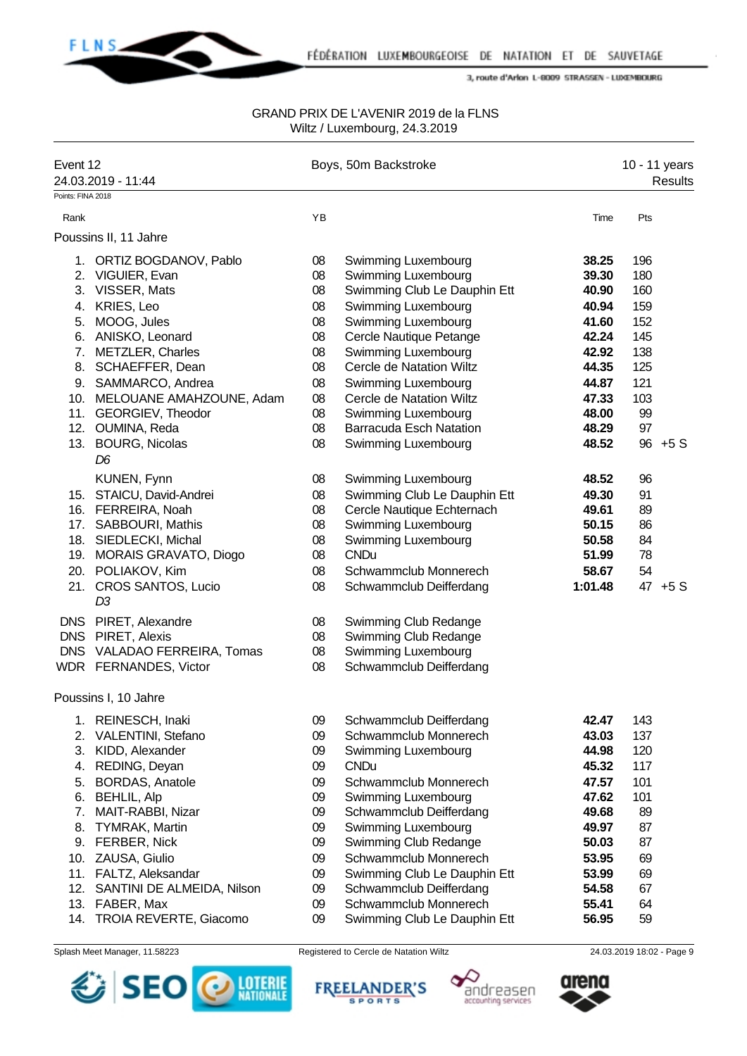

#### GRAND PRIX DE L'AVENIR 2019 de la FLNS Wiltz / Luxembourg, 24.3.2019

| Event 12          | 24.03.2019 - 11:44           |    | Boys, 50m Backstroke           |         | 10 - 11 years | <b>Results</b> |
|-------------------|------------------------------|----|--------------------------------|---------|---------------|----------------|
| Points: FINA 2018 |                              |    |                                |         |               |                |
| Rank              |                              | YB |                                | Time    | Pts           |                |
|                   | Poussins II, 11 Jahre        |    |                                |         |               |                |
|                   | 1. ORTIZ BOGDANOV, Pablo     | 08 | Swimming Luxembourg            | 38.25   | 196           |                |
|                   | 2. VIGUIER, Evan             | 08 | Swimming Luxembourg            | 39.30   | 180           |                |
|                   | 3. VISSER, Mats              | 08 | Swimming Club Le Dauphin Ett   | 40.90   | 160           |                |
| 4.                | KRIES, Leo                   | 08 | Swimming Luxembourg            | 40.94   | 159           |                |
| 5.                | MOOG, Jules                  | 08 | Swimming Luxembourg            | 41.60   | 152           |                |
|                   | 6. ANISKO, Leonard           | 08 | Cercle Nautique Petange        | 42.24   | 145           |                |
| 7.                | <b>METZLER, Charles</b>      | 08 | Swimming Luxembourg            | 42.92   | 138           |                |
| 8.                | SCHAEFFER, Dean              | 08 | Cercle de Natation Wiltz       | 44.35   | 125           |                |
|                   | 9. SAMMARCO, Andrea          | 08 | Swimming Luxembourg            | 44.87   | 121           |                |
|                   | 10. MELOUANE AMAHZOUNE, Adam | 08 | Cercle de Natation Wiltz       | 47.33   | 103           |                |
|                   | 11. GEORGIEV, Theodor        | 08 | Swimming Luxembourg            | 48.00   | 99            |                |
|                   | 12. OUMINA, Reda             | 08 | <b>Barracuda Esch Natation</b> | 48.29   | 97            |                |
|                   | 13. BOURG, Nicolas           | 08 | Swimming Luxembourg            | 48.52   |               | $96 + 5S$      |
|                   | D <sub>6</sub>               |    |                                |         |               |                |
|                   | KUNEN, Fynn                  | 08 | Swimming Luxembourg            | 48.52   | 96            |                |
|                   | 15. STAICU, David-Andrei     | 08 | Swimming Club Le Dauphin Ett   | 49.30   | 91            |                |
|                   | 16. FERREIRA, Noah           | 08 | Cercle Nautique Echternach     | 49.61   | 89            |                |
|                   | 17. SABBOURI, Mathis         | 08 | Swimming Luxembourg            | 50.15   | 86            |                |
|                   | 18. SIEDLECKI, Michal        | 08 | Swimming Luxembourg            | 50.58   | 84            |                |
| 19.               | MORAIS GRAVATO, Diogo        | 08 | <b>CNDu</b>                    | 51.99   | 78            |                |
| 20.               | POLIAKOV, Kim                | 08 | Schwammclub Monnerech          | 58.67   | 54            |                |
|                   | 21. CROS SANTOS, Lucio<br>D3 | 08 | Schwammclub Deifferdang        | 1:01.48 |               | 47 +5 S        |
| <b>DNS</b>        | PIRET, Alexandre             | 08 | Swimming Club Redange          |         |               |                |
| <b>DNS</b>        | PIRET, Alexis                | 08 | Swimming Club Redange          |         |               |                |
|                   | DNS VALADAO FERREIRA, Tomas  | 08 | Swimming Luxembourg            |         |               |                |
|                   | WDR FERNANDES, Victor        | 08 | Schwammclub Deifferdang        |         |               |                |
|                   | Poussins I, 10 Jahre         |    |                                |         |               |                |
| 1.                | REINESCH, Inaki              | 09 | Schwammclub Deifferdang        | 42.47   | 143           |                |
| 2.                | <b>VALENTINI, Stefano</b>    | 09 | Schwammclub Monnerech          | 43.03   | 137           |                |
| 3.                | KIDD, Alexander              | 09 | Swimming Luxembourg            | 44.98   | 120           |                |
| 4.                | REDING, Deyan                | 09 | <b>CNDu</b>                    | 45.32   | 117           |                |
| 5.                | <b>BORDAS, Anatole</b>       | 09 | Schwammclub Monnerech          | 47.57   | 101           |                |
| 6.                | <b>BEHLIL, Alp</b>           | 09 | Swimming Luxembourg            | 47.62   | 101           |                |
| 7.                | MAIT-RABBI, Nizar            | 09 | Schwammclub Deifferdang        | 49.68   | 89            |                |
| 8.                | <b>TYMRAK, Martin</b>        | 09 | Swimming Luxembourg            | 49.97   | 87            |                |
| 9.                | FERBER, Nick                 | 09 | Swimming Club Redange          | 50.03   | 87            |                |
|                   | 10. ZAUSA, Giulio            | 09 | Schwammclub Monnerech          | 53.95   | 69            |                |
|                   | 11. FALTZ, Aleksandar        | 09 | Swimming Club Le Dauphin Ett   | 53.99   | 69            |                |
| 12.               | SANTINI DE ALMEIDA, Nilson   | 09 | Schwammclub Deifferdang        | 54.58   | 67            |                |
| 13.               | FABER, Max                   | 09 | Schwammclub Monnerech          | 55.41   | 64            |                |
| 14.               | TROIA REVERTE, Giacomo       | 09 | Swimming Club Le Dauphin Ett   | 56.95   | 59            |                |







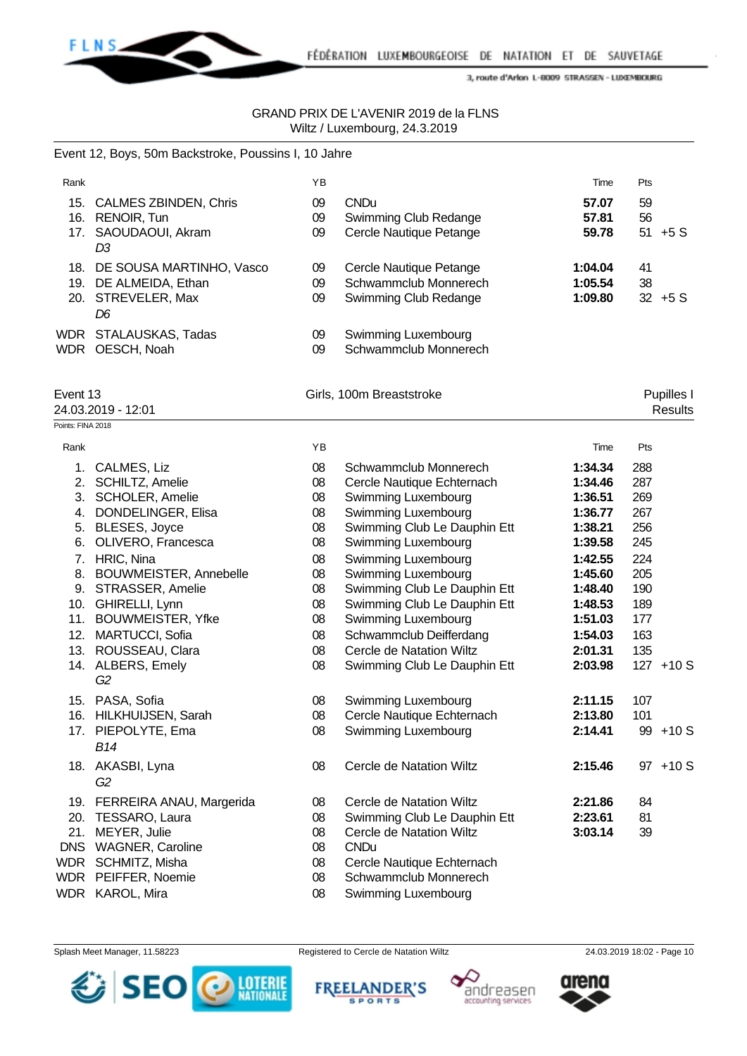

# GRAND PRIX DE L'AVENIR 2019 de la FLNS Wiltz / Luxembourg, 24.3.2019

# Event 12, Boys, 50m Backstroke, Poussins I, 10 Jahre

| Rank              |                              | YB |                                 | Time    | Pts |                |
|-------------------|------------------------------|----|---------------------------------|---------|-----|----------------|
|                   | 15. CALMES ZBINDEN, Chris    | 09 | <b>CNDu</b>                     | 57.07   | 59  |                |
|                   | 16. RENOIR, Tun              | 09 | Swimming Club Redange           | 57.81   | 56  |                |
|                   | 17. SAOUDAOUI, Akram         | 09 | Cercle Nautique Petange         | 59.78   |     | $51 + 5S$      |
|                   | D <sub>3</sub>               |    |                                 |         |     |                |
|                   | 18. DE SOUSA MARTINHO, Vasco | 09 | Cercle Nautique Petange         | 1:04.04 | 41  |                |
|                   | 19. DE ALMEIDA, Ethan        | 09 | Schwammclub Monnerech           | 1:05.54 | 38  |                |
|                   | 20. STREVELER, Max           | 09 | Swimming Club Redange           | 1:09.80 |     | $32 + 5S$      |
|                   | D <sub>6</sub>               |    |                                 |         |     |                |
|                   | WDR STALAUSKAS, Tadas        | 09 | Swimming Luxembourg             |         |     |                |
|                   | WDR OESCH, Noah              | 09 | Schwammclub Monnerech           |         |     |                |
|                   |                              |    |                                 |         |     |                |
| Event 13          |                              |    | Girls, 100m Breaststroke        |         |     | Pupilles I     |
|                   | 24.03.2019 - 12:01           |    |                                 |         |     | <b>Results</b> |
| Points: FINA 2018 |                              |    |                                 |         |     |                |
| Rank              |                              | YB |                                 | Time    | Pts |                |
|                   | 1. CALMES, Liz               | 08 | Schwammclub Monnerech           | 1:34.34 | 288 |                |
|                   | 2. SCHILTZ, Amelie           | 08 | Cercle Nautique Echternach      | 1:34.46 | 287 |                |
|                   | 3. SCHOLER, Amelie           | 08 | Swimming Luxembourg             | 1:36.51 | 269 |                |
|                   | 4. DONDELINGER, Elisa        | 08 | Swimming Luxembourg             | 1:36.77 | 267 |                |
|                   | 5. BLESES, Joyce             | 08 | Swimming Club Le Dauphin Ett    | 1:38.21 | 256 |                |
|                   | 6. OLIVERO, Francesca        | 08 | Swimming Luxembourg             | 1:39.58 | 245 |                |
|                   | 7. HRIC, Nina                | 08 | Swimming Luxembourg             | 1:42.55 | 224 |                |
|                   | 8. BOUWMEISTER, Annebelle    | 08 | Swimming Luxembourg             | 1:45.60 | 205 |                |
|                   | 9. STRASSER, Amelie          | 08 | Swimming Club Le Dauphin Ett    | 1:48.40 | 190 |                |
|                   | 10. GHIRELLI, Lynn           | 08 | Swimming Club Le Dauphin Ett    | 1:48.53 | 189 |                |
|                   | 11. BOUWMEISTER, Yfke        | 08 | Swimming Luxembourg             | 1:51.03 | 177 |                |
|                   | 12. MARTUCCI, Sofia          | 08 | Schwammclub Deifferdang         | 1:54.03 | 163 |                |
|                   | 13. ROUSSEAU, Clara          | 08 | <b>Cercle de Natation Wiltz</b> | 2:01.31 | 135 |                |
|                   | 14. ALBERS, Emely            | 08 | Swimming Club Le Dauphin Ett    | 2:03.98 |     | $127 + 10S$    |
|                   | G2                           |    |                                 |         |     |                |
|                   | 15. PASA, Sofia              | 08 | Swimming Luxembourg             | 2:11.15 | 107 |                |
|                   | 16. HILKHUIJSEN, Sarah       | 08 | Cercle Nautique Echternach      | 2:13.80 | 101 |                |
|                   | 17. PIEPOLYTE, Ema           | 08 | <b>Swimming Luxembourg</b>      | 2:14.41 |     | 99 +10 S       |
|                   | <b>B14</b>                   |    |                                 |         |     |                |
|                   | 18. AKASBI, Lyna             | 08 | Cercle de Natation Wiltz        | 2:15.46 |     | 97 +10 S       |
|                   | G2                           |    |                                 |         |     |                |
|                   | 19. FERREIRA ANAU, Margerida | 08 | <b>Cercle de Natation Wiltz</b> | 2:21.86 | 84  |                |
|                   | 20. TESSARO, Laura           | 08 | Swimming Club Le Dauphin Ett    | 2:23.61 | 81  |                |
|                   | 21. MEYER, Julie             | 08 | Cercle de Natation Wiltz        | 3:03.14 | 39  |                |
|                   | DNS WAGNER, Caroline         | 08 | <b>CNDu</b>                     |         |     |                |
|                   | WDR SCHMITZ, Misha           | 08 | Cercle Nautique Echternach      |         |     |                |
|                   | WDR PEIFFER, Noemie          | 08 | Schwammclub Monnerech           |         |     |                |
|                   | WDR KAROL, Mira              | 08 | Swimming Luxembourg             |         |     |                |
|                   |                              |    |                                 |         |     |                |

Splash Meet Manager, 11.58223 Registered to Cercle de Natation Wiltz 24.03.2019 18:02 - Page 10









andreasen

accounting services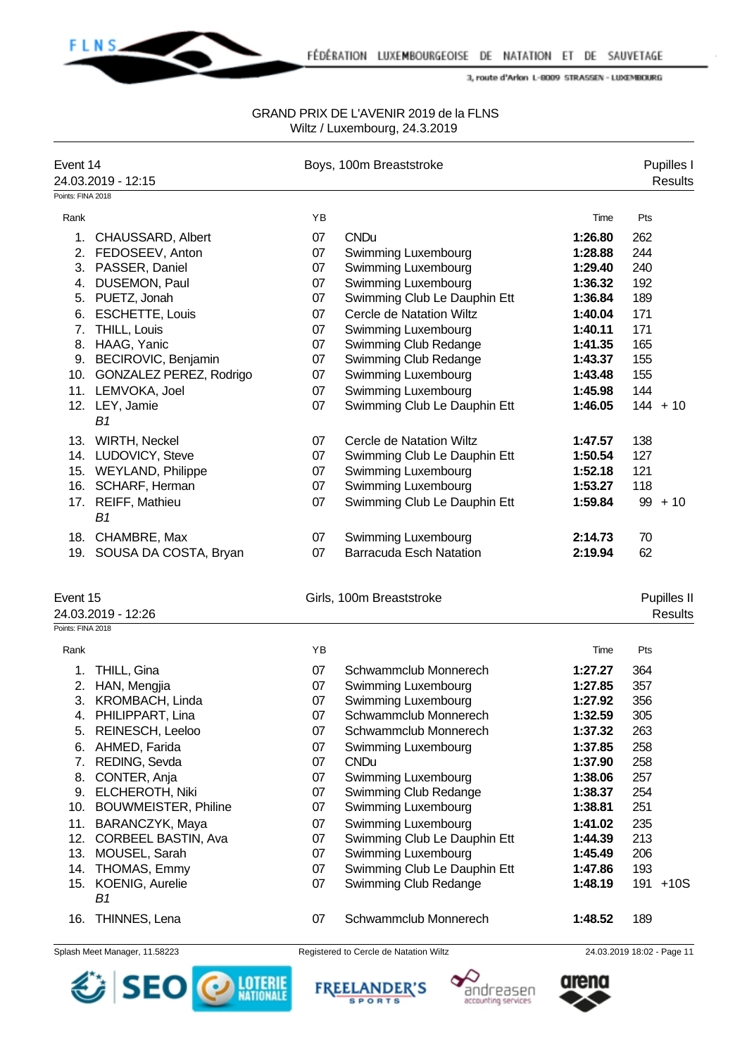

#### GRAND PRIX DE L'AVENIR 2019 de la FLNS Wiltz / Luxembourg, 24.3.2019

| Event 14          |                             |    | Boys, 100m Breaststroke        |         | Pupilles I     |
|-------------------|-----------------------------|----|--------------------------------|---------|----------------|
|                   | 24.03.2019 - 12:15          |    |                                |         | Results        |
| Points: FINA 2018 |                             |    |                                |         |                |
| Rank              |                             | YB |                                | Time    | Pts            |
|                   | 1. CHAUSSARD, Albert        | 07 | <b>CNDu</b>                    | 1:26.80 | 262            |
|                   | 2. FEDOSEEV, Anton          | 07 | <b>Swimming Luxembourg</b>     | 1:28.88 | 244            |
| 3.                | PASSER, Daniel              | 07 | Swimming Luxembourg            | 1:29.40 | 240            |
| 4.                | DUSEMON, Paul               | 07 | Swimming Luxembourg            | 1:36.32 | 192            |
| 5.                | PUETZ, Jonah                | 07 | Swimming Club Le Dauphin Ett   | 1:36.84 | 189            |
| 6.                | <b>ESCHETTE, Louis</b>      | 07 | Cercle de Natation Wiltz       | 1:40.04 | 171            |
| 7.                | THILL, Louis                | 07 | Swimming Luxembourg            | 1:40.11 | 171            |
|                   | 8. HAAG, Yanic              | 07 | Swimming Club Redange          | 1:41.35 | 165            |
|                   | 9. BECIROVIC, Benjamin      | 07 | Swimming Club Redange          | 1:43.37 | 155            |
|                   | 10. GONZALEZ PEREZ, Rodrigo | 07 | Swimming Luxembourg            | 1:43.48 | 155            |
|                   | 11. LEMVOKA, Joel           | 07 | Swimming Luxembourg            | 1:45.98 | 144            |
|                   | 12. LEY, Jamie              | 07 | Swimming Club Le Dauphin Ett   | 1:46.05 | $144 + 10$     |
|                   | B1                          |    |                                |         |                |
|                   | 13. WIRTH, Neckel           | 07 | Cercle de Natation Wiltz       | 1:47.57 | 138            |
|                   | 14. LUDOVICY, Steve         | 07 | Swimming Club Le Dauphin Ett   | 1:50.54 | 127            |
|                   | 15. WEYLAND, Philippe       | 07 | Swimming Luxembourg            | 1:52.18 | 121            |
|                   | 16. SCHARF, Herman          | 07 | Swimming Luxembourg            | 1:53.27 | 118            |
|                   | 17. REIFF, Mathieu          | 07 | Swimming Club Le Dauphin Ett   | 1:59.84 | $99 + 10$      |
|                   | B <sub>1</sub>              |    |                                |         |                |
|                   | 18. CHAMBRE, Max            | 07 | <b>Swimming Luxembourg</b>     | 2:14.73 | 70             |
|                   | 19. SOUSA DA COSTA, Bryan   | 07 | <b>Barracuda Esch Natation</b> | 2:19.94 | 62             |
|                   |                             |    |                                |         |                |
|                   |                             |    |                                |         |                |
| Event 15          |                             |    | Girls, 100m Breaststroke       |         | Pupilles II    |
| Points: FINA 2018 | 24.03.2019 - 12:26          |    |                                |         | <b>Results</b> |
|                   |                             |    |                                |         |                |
| Rank              |                             | YB |                                | Time    | Pts            |
| 1.                | THILL, Gina                 | 07 | Schwammclub Monnerech          | 1:27.27 | 364            |
|                   | 2. HAN, Mengjia             | 07 | Swimming Luxembourg            | 1:27.85 | 357            |
|                   | 3. KROMBACH, Linda          | 07 | Swimming Luxembourg            | 1:27.92 | 356            |
|                   | 4. PHILIPPART, Lina         | 07 | Schwammclub Monnerech          | 1:32.59 | 305            |
|                   | 5. REINESCH, Leeloo         | 07 | Schwammclub Monnerech          | 1:37.32 | 263            |
|                   | 6. AHMED, Farida            | 07 | Swimming Luxembourg            | 1:37.85 | 258            |
| 7.                | REDING, Sevda               | 07 | <b>CNDu</b>                    | 1:37.90 | 258            |
| 8.                | CONTER, Anja                | 07 | Swimming Luxembourg            | 1:38.06 | 257            |
|                   | 9. ELCHEROTH, Niki          | 07 | Swimming Club Redange          | 1:38.37 | 254            |
| 10.               | <b>BOUWMEISTER, Philine</b> | 07 | Swimming Luxembourg            | 1:38.81 | 251            |
| 11.               | BARANCZYK, Maya             | 07 | Swimming Luxembourg            | 1:41.02 | 235            |
| 12.               | CORBEEL BASTIN, Ava         | 07 | Swimming Club Le Dauphin Ett   | 1:44.39 | 213            |
|                   | 13. MOUSEL, Sarah           | 07 | Swimming Luxembourg            | 1:45.49 | 206            |
|                   | 14. THOMAS, Emmy            | 07 | Swimming Club Le Dauphin Ett   | 1:47.86 | 193            |
|                   | 15. KOENIG, Aurelie         | 07 | Swimming Club Redange          | 1:48.19 | 191 +10S       |
|                   | B <sub>1</sub>              |    |                                |         |                |
| 16.               | THINNES, Lena               | 07 | Schwammclub Monnerech          | 1:48.52 | 189            |
|                   |                             |    |                                |         |                |







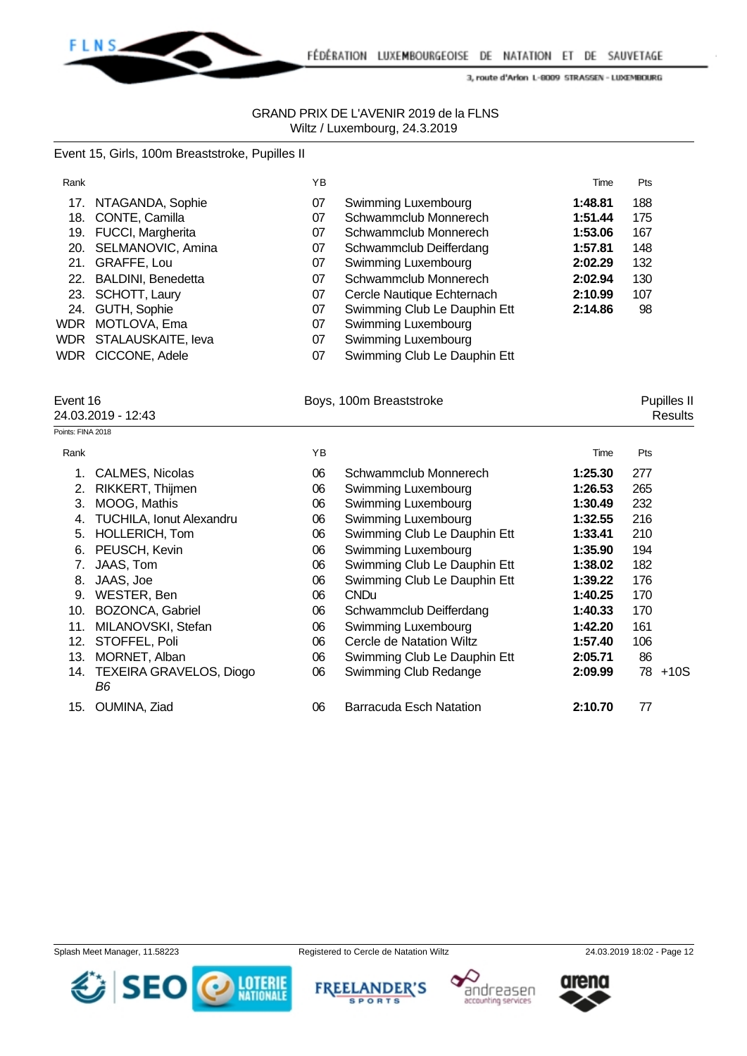

### GRAND PRIX DE L'AVENIR 2019 de la FLNS Wiltz / Luxembourg, 24.3.2019

# Event 15, Girls, 100m Breaststroke, Pupilles II

| Rank       |                           | ΥB |                              | Time    | Pts |
|------------|---------------------------|----|------------------------------|---------|-----|
| 17.        | NTAGANDA, Sophie          | 07 | Swimming Luxembourg          | 1:48.81 | 188 |
| 18.        | CONTE, Camilla            | 07 | Schwammclub Monnerech        | 1:51.44 | 175 |
| 19.        | <b>FUCCI, Margherita</b>  | 07 | Schwammclub Monnerech        | 1:53.06 | 167 |
| 20.        | SELMANOVIC, Amina         | 07 | Schwammclub Deifferdang      | 1:57.81 | 148 |
| 21.        | GRAFFE, Lou               | 07 | Swimming Luxembourg          | 2:02.29 | 132 |
| 22.        | <b>BALDINI, Benedetta</b> | 07 | Schwammclub Monnerech        | 2:02.94 | 130 |
| 23.        | SCHOTT, Laury             | 07 | Cercle Nautique Echternach   | 2:10.99 | 107 |
| 24.        | GUTH, Sophie              | 07 | Swimming Club Le Dauphin Ett | 2:14.86 | 98  |
| <b>WDR</b> | MOTLOVA, Ema              | 07 | Swimming Luxembourg          |         |     |
| WDR        | STALAUSKAITE, leva        | 07 | Swimming Luxembourg          |         |     |
|            | WDR CICCONE, Adele        | 07 | Swimming Club Le Dauphin Ett |         |     |

Event 16 **Boys, 100m Breaststroke Boys, 100m Breaststroke Pupilles II** 

24.03.2019 - 12:43 Results

| Points: FINA 2018 |                                   |     |                              |         |         |
|-------------------|-----------------------------------|-----|------------------------------|---------|---------|
| Rank              |                                   | YB. |                              | Time    | Pts     |
|                   | <b>CALMES, Nicolas</b>            | 06  | Schwammclub Monnerech        | 1:25.30 | 277     |
| 2.                | RIKKERT, Thijmen                  | 06  | Swimming Luxembourg          | 1:26.53 | 265     |
| 3.                | MOOG, Mathis                      | 06  | Swimming Luxembourg          | 1:30.49 | 232     |
| 4.                | TUCHILA, Ionut Alexandru          | 06  | Swimming Luxembourg          | 1:32.55 | 216     |
| 5.                | <b>HOLLERICH, Tom</b>             | 06  | Swimming Club Le Dauphin Ett | 1:33.41 | 210     |
| 6.                | PEUSCH, Kevin                     | 06  | Swimming Luxembourg          | 1:35.90 | 194     |
| 7.                | JAAS, Tom                         | 06  | Swimming Club Le Dauphin Ett | 1:38.02 | 182     |
| 8.                | JAAS, Joe                         | 06  | Swimming Club Le Dauphin Ett | 1:39.22 | 176     |
| 9.                | WESTER, Ben                       | 06  | <b>CNDu</b>                  | 1:40.25 | 170     |
| 10.               | BOZONCA, Gabriel                  | 06  | Schwammclub Deifferdang      | 1:40.33 | 170     |
| 11.               | MILANOVSKI, Stefan                | 06  | Swimming Luxembourg          | 1:42.20 | 161     |
| 12.               | STOFFEL, Poli                     | 06  | Cercle de Natation Wiltz     | 1:57.40 | 106     |
| 13.               | MORNET, Alban                     | 06  | Swimming Club Le Dauphin Ett | 2:05.71 | 86      |
|                   | 14. TEXEIRA GRAVELOS, Diogo<br>B6 | 06  | Swimming Club Redange        | 2:09.99 | 78 +10S |
| 15.               | OUMINA, Ziad                      | 06  | Barracuda Esch Natation      | 2:10.70 | 77      |





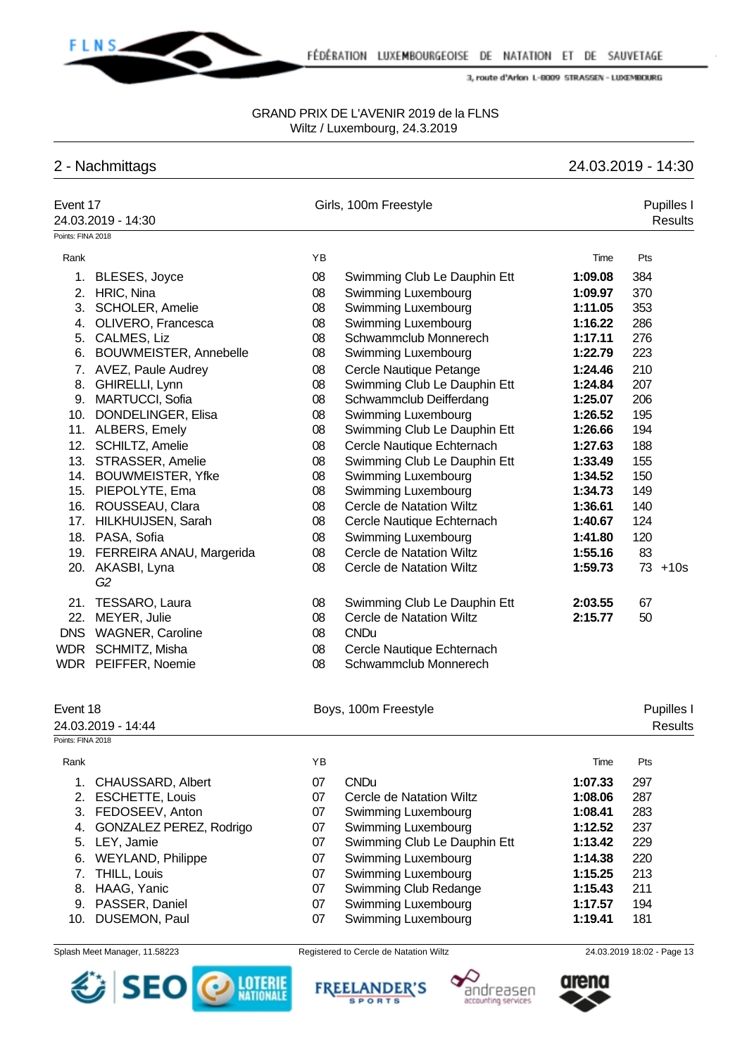

#### GRAND PRIX DE L'AVENIR 2019 de la FLNS Wiltz / Luxembourg, 24.3.2019

# 2 - Nachmittags 24.03.2019 - 14:30

| Event 17          | 24.03.2019 - 14:30           |    | Girls, 100m Freestyle        |         | Pupilles I<br><b>Results</b> |
|-------------------|------------------------------|----|------------------------------|---------|------------------------------|
| Points: FINA 2018 |                              |    |                              |         |                              |
| Rank              |                              | YB |                              | Time    | Pts                          |
| 1.                | <b>BLESES, Joyce</b>         | 08 | Swimming Club Le Dauphin Ett | 1:09.08 | 384                          |
| 2.                | HRIC, Nina                   | 08 | Swimming Luxembourg          | 1:09.97 | 370                          |
| 3.                | <b>SCHOLER, Amelie</b>       | 08 | Swimming Luxembourg          | 1:11.05 | 353                          |
| 4.                | OLIVERO, Francesca           | 08 | Swimming Luxembourg          | 1:16.22 | 286                          |
| 5.                | CALMES, Liz                  | 08 | Schwammclub Monnerech        | 1:17.11 | 276                          |
| 6.                | BOUWMEISTER, Annebelle       | 08 | Swimming Luxembourg          | 1:22.79 | 223                          |
| 7.                | <b>AVEZ, Paule Audrey</b>    | 08 | Cercle Nautique Petange      | 1:24.46 | 210                          |
| 8.                | GHIRELLI, Lynn               | 08 | Swimming Club Le Dauphin Ett | 1:24.84 | 207                          |
| 9.                | MARTUCCI, Sofia              | 08 | Schwammclub Deifferdang      | 1:25.07 | 206                          |
|                   | 10. DONDELINGER, Elisa       | 08 | Swimming Luxembourg          | 1:26.52 | 195                          |
|                   | 11. ALBERS, Emely            | 08 | Swimming Club Le Dauphin Ett | 1:26.66 | 194                          |
|                   | 12. SCHILTZ, Amelie          | 08 | Cercle Nautique Echternach   | 1:27.63 | 188                          |
|                   | 13. STRASSER, Amelie         | 08 | Swimming Club Le Dauphin Ett | 1:33.49 | 155                          |
|                   | 14. BOUWMEISTER, Yfke        | 08 | Swimming Luxembourg          | 1:34.52 | 150                          |
|                   | 15. PIEPOLYTE, Ema           | 08 | Swimming Luxembourg          | 1:34.73 | 149                          |
|                   | 16. ROUSSEAU, Clara          | 08 | Cercle de Natation Wiltz     | 1:36.61 | 140                          |
|                   | 17. HILKHUIJSEN, Sarah       | 08 | Cercle Nautique Echternach   | 1:40.67 | 124                          |
|                   | 18. PASA, Sofia              | 08 | Swimming Luxembourg          | 1:41.80 | 120                          |
|                   | 19. FERREIRA ANAU, Margerida | 08 | Cercle de Natation Wiltz     | 1:55.16 | 83                           |
|                   | 20. AKASBI, Lyna<br>G2       | 08 | Cercle de Natation Wiltz     | 1:59.73 | $73 + 10s$                   |
|                   | 21. TESSARO, Laura           | 08 | Swimming Club Le Dauphin Ett | 2:03.55 | 67                           |
|                   | 22. MEYER, Julie             | 08 | Cercle de Natation Wiltz     | 2:15.77 | 50                           |
|                   | DNS WAGNER, Caroline         | 08 | <b>CNDu</b>                  |         |                              |
|                   | WDR SCHMITZ, Misha           | 08 | Cercle Nautique Echternach   |         |                              |
|                   | WDR PEIFFER, Noemie          | 08 | Schwammclub Monnerech        |         |                              |
| Event 18          | 24.03.2019 - 14:44           |    | Boys, 100m Freestyle         |         | Pupilles I<br><b>Results</b> |
| Points: FINA 2018 |                              |    |                              |         |                              |
| Rank              |                              | ΥB |                              | Time    | Pts                          |
| 1.                | CHAUSSARD, Albert            | 07 | <b>CNDu</b>                  | 1:07.33 | 297                          |
| 2.                | <b>ESCHETTE, Louis</b>       | 07 | Cercle de Natation Wiltz     | 1:08.06 | 287                          |
| 3.                | FEDOSEEV, Anton              | 07 | Swimming Luxembourg          | 1:08.41 | 283                          |
| 4.                | GONZALEZ PEREZ, Rodrigo      | 07 | Swimming Luxembourg          | 1:12.52 | 237                          |
| 5.                | LEY, Jamie                   | 07 | Swimming Club Le Dauphin Ett | 1:13.42 | 229                          |
| 6.                | <b>WEYLAND, Philippe</b>     | 07 | Swimming Luxembourg          | 1:14.38 | 220                          |
| 7.                | THILL, Louis                 | 07 | Swimming Luxembourg          | 1:15.25 | 213                          |
| 8.                | HAAG, Yanic                  | 07 | Swimming Club Redange        | 1:15.43 | 211                          |
| 9.                | PASSER, Daniel               | 07 | Swimming Luxembourg          | 1:17.57 | 194                          |
| 10.               | DUSEMON, Paul                | 07 | Swimming Luxembourg          | 1:19.41 | 181                          |
|                   |                              |    |                              |         |                              |





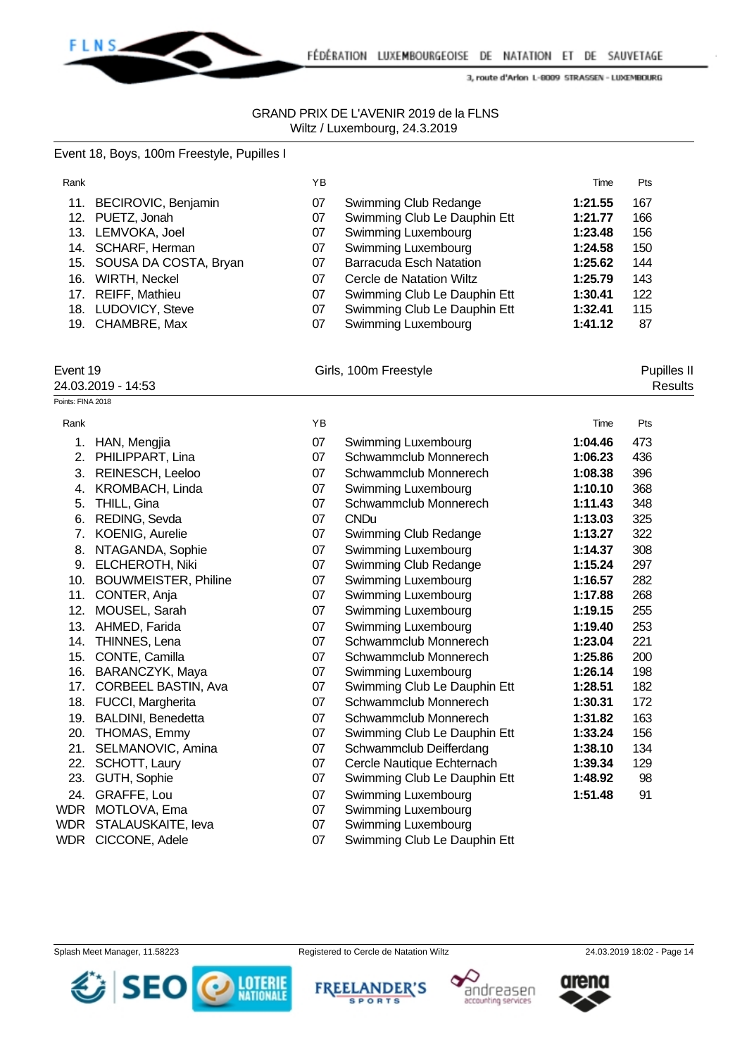

### GRAND PRIX DE L'AVENIR 2019 de la FLNS Wiltz / Luxembourg, 24.3.2019

|                   | Event 18, Boys, 100m Freestyle, Pupilles I |    |                                |         |             |
|-------------------|--------------------------------------------|----|--------------------------------|---------|-------------|
| Rank              |                                            | YB |                                | Time    | Pts         |
|                   | 11. BECIROVIC, Benjamin                    | 07 | Swimming Club Redange          | 1:21.55 | 167         |
|                   | 12. PUETZ, Jonah                           | 07 | Swimming Club Le Dauphin Ett   | 1:21.77 | 166         |
|                   | 13. LEMVOKA, Joel                          | 07 | Swimming Luxembourg            | 1:23.48 | 156         |
|                   | 14. SCHARF, Herman                         | 07 | Swimming Luxembourg            | 1:24.58 | 150         |
|                   | 15. SOUSA DA COSTA, Bryan                  | 07 | <b>Barracuda Esch Natation</b> | 1:25.62 | 144         |
|                   | 16. WIRTH, Neckel                          | 07 | Cercle de Natation Wiltz       | 1:25.79 | 143         |
|                   | 17. REIFF, Mathieu                         | 07 | Swimming Club Le Dauphin Ett   | 1:30.41 | 122         |
|                   | 18. LUDOVICY, Steve                        | 07 | Swimming Club Le Dauphin Ett   | 1:32.41 | 115         |
|                   | 19. CHAMBRE, Max                           | 07 | Swimming Luxembourg            | 1:41.12 | 87          |
| Event 19          |                                            |    | Girls, 100m Freestyle          |         | Pupilles II |
|                   | 24.03.2019 - 14:53                         |    |                                |         | Results     |
| Points: FINA 2018 |                                            |    |                                |         |             |
| Rank              |                                            | YB |                                | Time    | Pts         |
|                   | 1. HAN, Mengjia                            | 07 | Swimming Luxembourg            | 1:04.46 | 473         |
|                   | 2. PHILIPPART, Lina                        | 07 | Schwammclub Monnerech          | 1:06.23 | 436         |
|                   | 3. REINESCH, Leeloo                        | 07 | Schwammclub Monnerech          | 1:08.38 | 396         |
|                   | 4. KROMBACH, Linda                         | 07 | Swimming Luxembourg            | 1:10.10 | 368         |
| 5.                | THILL, Gina                                | 07 | Schwammclub Monnerech          | 1:11.43 | 348         |
|                   | 6. REDING, Sevda                           | 07 | <b>CNDu</b>                    | 1:13.03 | 325         |
|                   | 7. KOENIG, Aurelie                         | 07 | Swimming Club Redange          | 1:13.27 | 322         |
|                   | 8. NTAGANDA, Sophie                        | 07 | Swimming Luxembourg            | 1:14.37 | 308         |
|                   | 9. ELCHEROTH, Niki                         | 07 | Swimming Club Redange          | 1:15.24 | 297         |
|                   | 10. BOUWMEISTER, Philine                   | 07 | Swimming Luxembourg            | 1:16.57 | 282         |
|                   | 11. CONTER, Anja                           | 07 | Swimming Luxembourg            | 1:17.88 | 268         |
|                   | 12. MOUSEL, Sarah                          | 07 | Swimming Luxembourg            | 1:19.15 | 255         |
|                   | 13. AHMED, Farida                          | 07 | Swimming Luxembourg            | 1:19.40 | 253         |
|                   | 14. THINNES, Lena                          | 07 | Schwammclub Monnerech          | 1:23.04 | 221         |
|                   | 15. CONTE, Camilla                         | 07 | Schwammclub Monnerech          | 1:25.86 | 200         |
|                   | 16. BARANCZYK, Maya                        | 07 | Swimming Luxembourg            | 1:26.14 | 198         |
|                   | 17. CORBEEL BASTIN, Ava                    | 07 | Swimming Club Le Dauphin Ett   | 1:28.51 | 182         |
|                   | 18. FUCCI, Margherita                      | 07 | Schwammclub Monnerech          | 1:30.31 | 172         |
|                   | 19. BALDINI, Benedetta                     | 07 | Schwammclub Monnerech          | 1:31.82 | 163         |
| 20.               | THOMAS, Emmy                               | 07 | Swimming Club Le Dauphin Ett   | 1:33.24 | 156         |
| 21.               | SELMANOVIC, Amina                          | 07 | Schwammclub Deifferdang        | 1:38.10 | 134         |
| 22.               | SCHOTT, Laury                              | 07 | Cercle Nautique Echternach     | 1:39.34 | 129         |
| 23.               | GUTH, Sophie                               | 07 | Swimming Club Le Dauphin Ett   | 1:48.92 | 98          |
| 24.               | GRAFFE, Lou                                | 07 | Swimming Luxembourg            | 1:51.48 | 91          |
| <b>WDR</b>        | MOTLOVA, Ema                               | 07 | Swimming Luxembourg            |         |             |
| WDR               | STALAUSKAITE, leva                         | 07 | Swimming Luxembourg            |         |             |

- 
- WDR CICCONE, Adele 07 Swimming Club Le Dauphin Ett









andreasen

accounting services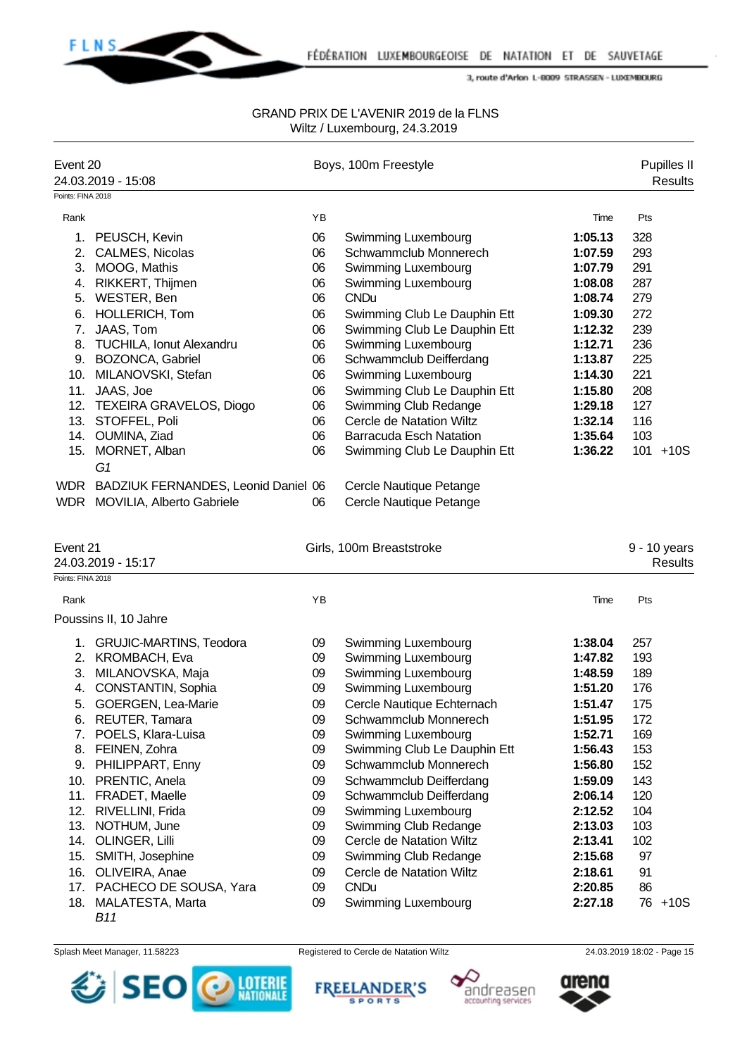

| Event 20          |                                         |          | Boys, 100m Freestyle                                |                    | Pupilles II    |
|-------------------|-----------------------------------------|----------|-----------------------------------------------------|--------------------|----------------|
|                   | 24.03.2019 - 15:08                      |          |                                                     |                    | Results        |
| Points: FINA 2018 |                                         |          |                                                     |                    |                |
| Rank              |                                         | YB       |                                                     | Time               | Pts            |
| 1.                | PEUSCH, Kevin                           | 06       | Swimming Luxembourg                                 | 1:05.13            | 328            |
| 2.                | CALMES, Nicolas                         | 06       | Schwammclub Monnerech                               | 1:07.59            | 293            |
|                   | 3. MOOG, Mathis                         | 06       | Swimming Luxembourg                                 | 1:07.79            | 291            |
| 4.                | RIKKERT, Thijmen                        | 06       | Swimming Luxembourg                                 | 1:08.08            | 287            |
| 5.                | WESTER, Ben                             | 06       | <b>CNDu</b>                                         | 1:08.74            | 279            |
|                   | 6. HOLLERICH, Tom                       | 06       | Swimming Club Le Dauphin Ett                        | 1:09.30            | 272            |
| 7.                | JAAS, Tom                               | 06       | Swimming Club Le Dauphin Ett                        | 1:12.32            | 239            |
|                   | 8. TUCHILA, Ionut Alexandru             | 06       | Swimming Luxembourg                                 | 1:12.71            | 236            |
|                   | 9. BOZONCA, Gabriel                     | 06       | Schwammclub Deifferdang                             | 1:13.87            | 225            |
|                   | 10. MILANOVSKI, Stefan                  | 06       | Swimming Luxembourg                                 | 1:14.30            | 221            |
|                   | 11. JAAS, Joe                           | 06       | Swimming Club Le Dauphin Ett                        | 1:15.80            | 208            |
|                   | 12. TEXEIRA GRAVELOS, Diogo             | 06       | Swimming Club Redange                               | 1:29.18            | 127            |
|                   | 13. STOFFEL, Poli                       | 06       | Cercle de Natation Wiltz                            | 1:32.14            | 116            |
|                   | 14. OUMINA, Ziad                        | 06       | <b>Barracuda Esch Natation</b>                      | 1:35.64            | 103            |
|                   | 15. MORNET, Alban                       | 06       | Swimming Club Le Dauphin Ett                        | 1:36.22            | 101 +10S       |
|                   | G1                                      |          |                                                     |                    |                |
|                   | WDR BADZIUK FERNANDES, Leonid Daniel 06 |          | Cercle Nautique Petange                             |                    |                |
|                   | WDR MOVILIA, Alberto Gabriele           | 06       | Cercle Nautique Petange                             |                    |                |
|                   |                                         |          |                                                     |                    |                |
|                   |                                         |          |                                                     |                    |                |
| Event 21          |                                         |          | Girls, 100m Breaststroke                            |                    | 9 - 10 years   |
|                   | 24.03.2019 - 15:17                      |          |                                                     |                    | <b>Results</b> |
|                   |                                         |          |                                                     |                    |                |
| Rank              |                                         | YB       |                                                     | Time               | Pts            |
| Points: FINA 2018 | Poussins II, 10 Jahre                   |          |                                                     |                    |                |
|                   |                                         |          |                                                     | 1:38.04            | 257            |
| 2.                | 1. GRUJIC-MARTINS, Teodora              | 09<br>09 | Swimming Luxembourg                                 | 1:47.82            | 193            |
| 3.                | KROMBACH, Eva                           | 09       | Swimming Luxembourg                                 | 1:48.59            | 189            |
| 4.                | MILANOVSKA, Maja<br>CONSTANTIN, Sophia  | 09       | Swimming Luxembourg<br>Swimming Luxembourg          | 1:51.20            | 176            |
| 5.                |                                         | 09       |                                                     | 1:51.47            |                |
|                   | GOERGEN, Lea-Marie                      | 09       | Cercle Nautique Echternach<br>Schwammclub Monnerech | 1:51.95            | 175<br>172     |
| 7.                | 6. REUTER, Tamara<br>POELS, Klara-Luisa | 09       | Swimming Luxembourg                                 | 1:52.71            | 169            |
|                   | 8. FEINEN, Zohra                        | 09       | Swimming Club Le Dauphin Ett                        | 1:56.43            | 153            |
|                   | 9. PHILIPPART, Enny                     | 09       | Schwammclub Monnerech                               | 1:56.80            | 152            |
|                   | 10. PRENTIC, Anela                      | 09       |                                                     |                    | 143            |
|                   | 11. FRADET, Maelle                      | 09       | Schwammclub Deifferdang<br>Schwammclub Deifferdang  | 1:59.09<br>2:06.14 | 120            |
|                   | 12. RIVELLINI, Frida                    | 09       | Swimming Luxembourg                                 | 2:12.52            | 104            |
|                   | 13. NOTHUM, June                        | 09       | Swimming Club Redange                               | 2:13.03            | 103            |
|                   | 14. OLINGER, Lilli                      | 09       | Cercle de Natation Wiltz                            | 2:13.41            | 102            |
|                   | 15. SMITH, Josephine                    | 09       | Swimming Club Redange                               | 2:15.68            | 97             |
|                   | 16. OLIVEIRA, Anae                      | 09       | <b>Cercle de Natation Wiltz</b>                     | 2:18.61            | 91             |
|                   | 17. PACHECO DE SOUSA, Yara              | 09       | <b>CNDu</b>                                         | 2:20.85            | 86             |
|                   | 18. MALATESTA, Marta                    | 09       | Swimming Luxembourg                                 | 2:27.18            | 76 +10S        |









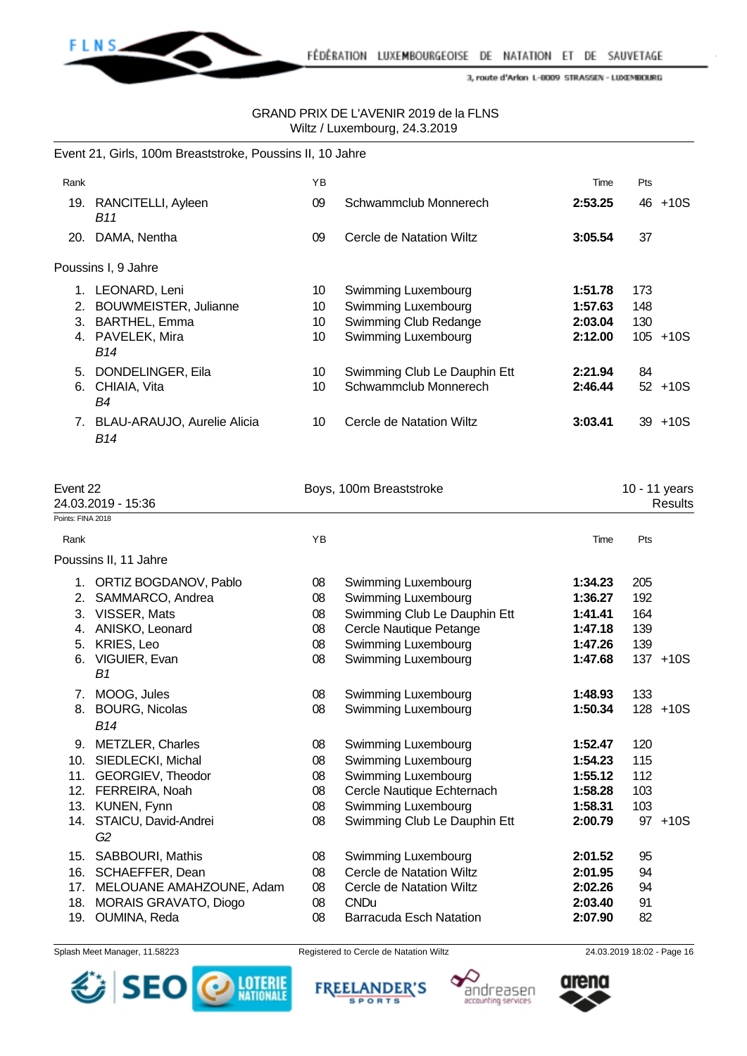

# GRAND PRIX DE L'AVENIR 2019 de la FLNS Wiltz / Luxembourg, 24.3.2019

|      | Event 21, Girls, 100m Breaststroke, Poussins II, 10 Jahre |    |                              |         |            |
|------|-----------------------------------------------------------|----|------------------------------|---------|------------|
| Rank |                                                           | YB |                              | Time    | Pts        |
|      | 19. RANCITELLI, Ayleen<br>B11                             | 09 | Schwammclub Monnerech        | 2:53.25 | $46 + 10S$ |
| 20.  | DAMA, Nentha                                              | 09 | Cercle de Natation Wiltz     | 3:05.54 | 37         |
|      | Poussins I, 9 Jahre                                       |    |                              |         |            |
| 1.   | LEONARD, Leni                                             | 10 | Swimming Luxembourg          | 1:51.78 | 173        |
| 2.   | <b>BOUWMEISTER, Julianne</b>                              | 10 | Swimming Luxembourg          | 1:57.63 | 148        |
| 3.   | <b>BARTHEL, Emma</b>                                      | 10 | Swimming Club Redange        | 2:03.04 | 130        |
|      | 4. PAVELEK, Mira<br>B14                                   | 10 | Swimming Luxembourg          | 2:12.00 | 105 +10S   |
|      | 5. DONDELINGER, Eila                                      | 10 | Swimming Club Le Dauphin Ett | 2:21.94 | 84         |
| 6.   | CHIAIA, Vita<br>B4                                        | 10 | Schwammclub Monnerech        | 2:46.44 | $52 + 10S$ |
| 7.   | BLAU-ARAUJO, Aurelie Alicia<br>B14                        | 10 | Cercle de Natation Wiltz     | 3:03.41 | $39 + 10S$ |

| Event 22          | 24.03.2019 - 15:36                     |    | Boys, 100m Breaststroke      |         | 10 - 11 years | <b>Results</b> |
|-------------------|----------------------------------------|----|------------------------------|---------|---------------|----------------|
| Points: FINA 2018 |                                        |    |                              |         |               |                |
| Rank              |                                        | YB |                              | Time    | Pts           |                |
|                   | Poussins II, 11 Jahre                  |    |                              |         |               |                |
| 1.                | ORTIZ BOGDANOV, Pablo                  | 08 | Swimming Luxembourg          | 1:34.23 | 205           |                |
| 2.                | SAMMARCO, Andrea                       | 08 | Swimming Luxembourg          | 1:36.27 | 192           |                |
| 3.                | VISSER, Mats                           | 08 | Swimming Club Le Dauphin Ett | 1:41.41 | 164           |                |
| 4.                | ANISKO, Leonard                        | 08 | Cercle Nautique Petange      | 1:47.18 | 139           |                |
| 5.                | KRIES, Leo                             | 08 | Swimming Luxembourg          | 1:47.26 | 139           |                |
| 6.                | VIGUIER, Evan<br>B1                    | 08 | <b>Swimming Luxembourg</b>   | 1:47.68 |               | $137 + 10S$    |
| 7.                | MOOG, Jules                            | 08 | <b>Swimming Luxembourg</b>   | 1:48.93 | 133           |                |
| 8.                | <b>BOURG, Nicolas</b><br><b>B14</b>    | 08 | Swimming Luxembourg          | 1:50.34 |               | $128 + 10S$    |
| 9.                | <b>METZLER, Charles</b>                | 08 | Swimming Luxembourg          | 1:52.47 | 120           |                |
| 10.               | SIEDLECKI, Michal                      | 08 | Swimming Luxembourg          | 1:54.23 | 115           |                |
| 11.               | GEORGIEV, Theodor                      | 08 | Swimming Luxembourg          | 1:55.12 | 112           |                |
| 12.               | FERREIRA, Noah                         | 08 | Cercle Nautique Echternach   | 1:58.28 | 103           |                |
| 13.               | KUNEN, Fynn                            | 08 | Swimming Luxembourg          | 1:58.31 | 103           |                |
| 14.               | STAICU, David-Andrei<br>G <sub>2</sub> | 08 | Swimming Club Le Dauphin Ett | 2:00.79 |               | 97 +10S        |
| 15.               | SABBOURI, Mathis                       | 08 | Swimming Luxembourg          | 2:01.52 | 95            |                |
| 16.               | SCHAEFFER, Dean                        | 08 | Cercle de Natation Wiltz     | 2:01.95 | 94            |                |
| 17.               | MELOUANE AMAHZOUNE, Adam               | 08 | Cercle de Natation Wiltz     | 2:02.26 | 94            |                |
| 18.               | MORAIS GRAVATO, Diogo                  | 08 | <b>CNDu</b>                  | 2:03.40 | 91            |                |
| 19.               | OUMINA, Reda                           | 08 | Barracuda Esch Natation      | 2:07.90 | 82            |                |







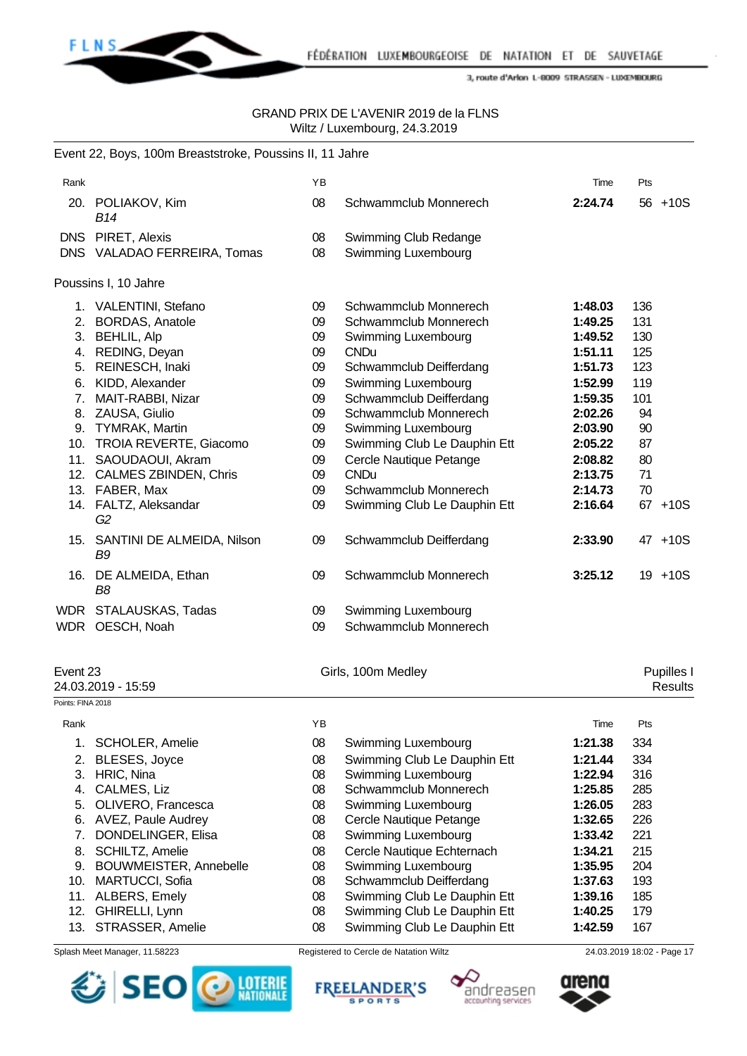

### GRAND PRIX DE L'AVENIR 2019 de la FLNS Wiltz / Luxembourg, 24.3.2019

|                   | Event 22, Boys, 100m Breaststroke, Poussins II, 11 Jahre |    |                              |         |     |                |
|-------------------|----------------------------------------------------------|----|------------------------------|---------|-----|----------------|
| Rank              |                                                          | YB |                              | Time    | Pts |                |
|                   | 20. POLIAKOV, Kim<br><b>B14</b>                          | 08 | Schwammclub Monnerech        | 2:24.74 |     | $56 + 10S$     |
|                   | DNS PIRET, Alexis                                        | 08 | Swimming Club Redange        |         |     |                |
|                   | DNS VALADAO FERREIRA, Tomas                              | 08 | Swimming Luxembourg          |         |     |                |
|                   | Poussins I, 10 Jahre                                     |    |                              |         |     |                |
|                   | 1. VALENTINI, Stefano                                    | 09 | Schwammclub Monnerech        | 1:48.03 | 136 |                |
|                   | 2. BORDAS, Anatole                                       | 09 | Schwammclub Monnerech        | 1:49.25 | 131 |                |
|                   | 3. BEHLIL, Alp                                           | 09 | Swimming Luxembourg          | 1:49.52 | 130 |                |
|                   | 4. REDING, Deyan                                         | 09 | <b>CNDu</b>                  | 1:51.11 | 125 |                |
|                   | 5. REINESCH, Inaki                                       | 09 | Schwammclub Deifferdang      | 1:51.73 | 123 |                |
|                   | 6. KIDD, Alexander                                       | 09 | Swimming Luxembourg          | 1:52.99 | 119 |                |
|                   | 7. MAIT-RABBI, Nizar                                     | 09 | Schwammclub Deifferdang      | 1:59.35 | 101 |                |
|                   | 8. ZAUSA, Giulio                                         | 09 | Schwammclub Monnerech        | 2:02.26 | 94  |                |
|                   | 9. TYMRAK, Martin                                        | 09 | Swimming Luxembourg          | 2:03.90 | 90  |                |
|                   | 10. TROIA REVERTE, Giacomo                               | 09 | Swimming Club Le Dauphin Ett | 2:05.22 | 87  |                |
|                   | 11. SAOUDAOUI, Akram                                     | 09 | Cercle Nautique Petange      | 2:08.82 | 80  |                |
|                   | 12. CALMES ZBINDEN, Chris                                | 09 | <b>CNDu</b>                  | 2:13.75 | 71  |                |
|                   | 13. FABER, Max                                           | 09 | Schwammclub Monnerech        | 2:14.73 | 70  |                |
|                   | 14. FALTZ, Aleksandar<br>G <sub>2</sub>                  | 09 | Swimming Club Le Dauphin Ett | 2:16.64 |     | 67 +10S        |
|                   | 15. SANTINI DE ALMEIDA, Nilson<br>B <sub>9</sub>         | 09 | Schwammclub Deifferdang      | 2:33.90 |     | 47 +10S        |
|                   | 16. DE ALMEIDA, Ethan<br>B <sub>8</sub>                  | 09 | Schwammclub Monnerech        | 3:25.12 |     | $19 + 10S$     |
|                   | WDR STALAUSKAS, Tadas                                    | 09 | Swimming Luxembourg          |         |     |                |
|                   | WDR OESCH, Noah                                          | 09 | Schwammclub Monnerech        |         |     |                |
| Event 23          |                                                          |    | Girls, 100m Medley           |         |     | Pupilles I     |
|                   | 24.03.2019 - 15:59                                       |    |                              |         |     | <b>Results</b> |
| Points: FINA 2018 |                                                          |    |                              |         |     |                |
| Rank              |                                                          | YB |                              | Time    | Pts |                |
| 1.                | <b>SCHOLER, Amelie</b>                                   | 08 | Swimming Luxembourg          | 1:21.38 | 334 |                |
| 2.                | <b>BLESES, Joyce</b>                                     | 08 | Swimming Club Le Dauphin Ett | 1:21.44 | 334 |                |
| 3.                | HRIC, Nina                                               | 08 | Swimming Luxembourg          | 1:22.94 | 316 |                |
| 4.                | CALMES, Liz                                              | 08 | Schwammclub Monnerech        | 1:25.85 | 285 |                |
| 5.                | OLIVERO, Francesca                                       | 08 | Swimming Luxembourg          | 1:26.05 | 283 |                |
| 6.                | AVEZ, Paule Audrey                                       | 08 | Cercle Nautique Petange      | 1:32.65 | 226 |                |
| 7.                | DONDELINGER, Elisa                                       | 08 | Swimming Luxembourg          | 1:33.42 | 221 |                |
| 8.                | SCHILTZ, Amelie                                          | 08 | Cercle Nautique Echternach   | 1:34.21 | 215 |                |

- 9. BOUWMEISTER, Annebelle 08 Swimming Luxembourg **1:35.95** 204
- 10. MARTUCCI, Sofia 08 Schwammclub Deifferdang **1:37.63** 193
- 11. ALBERS, Emely 08 Swimming Club Le Dauphin Ett **1:39.16** 185
- 12. GHIRELLI, Lynn 08 Swimming Club Le Dauphin Ett **1:40.25** 179
- 13. STRASSER, Amelie 08 Swimming Club Le Dauphin Ett **1:42.59** 167
- 







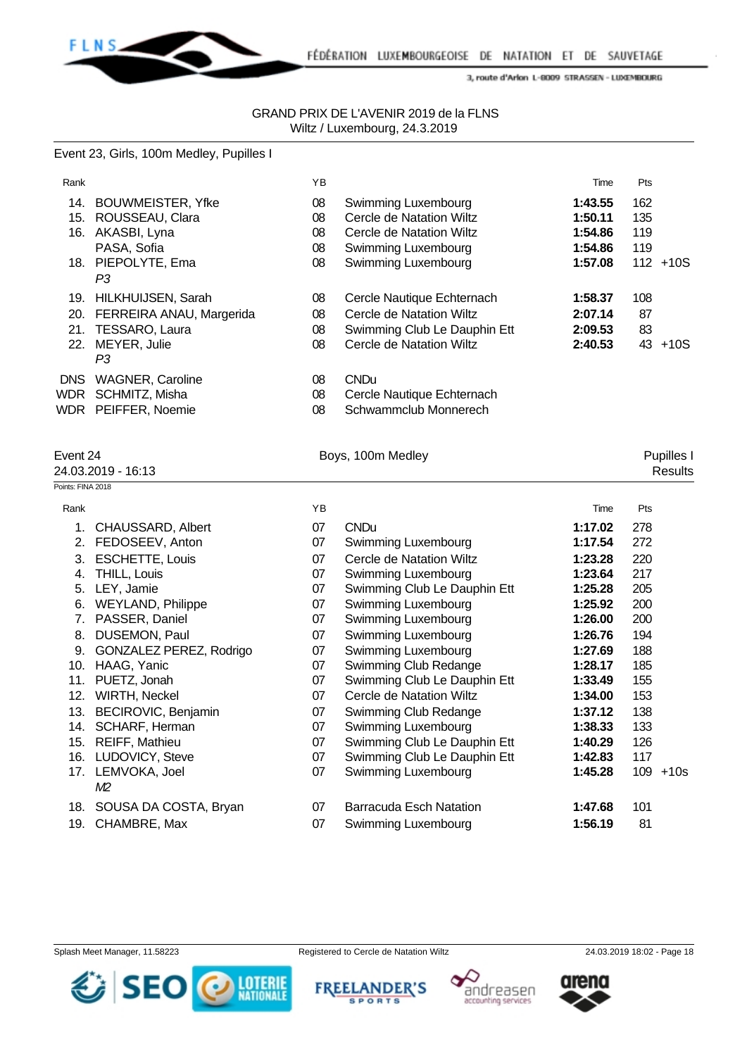

#### GRAND PRIX DE L'AVENIR 2019 de la FLNS Wiltz / Luxembourg, 24.3.2019

# Event 23, Girls, 100m Medley, Pupilles I

| Rank       |                           | YB |                              | Time    | Pts |             |
|------------|---------------------------|----|------------------------------|---------|-----|-------------|
| 14.        | <b>BOUWMEISTER, Yfke</b>  | 08 | Swimming Luxembourg          | 1:43.55 | 162 |             |
| 15.        | ROUSSEAU, Clara           | 08 | Cercle de Natation Wiltz     | 1:50.11 | 135 |             |
| 16.        | AKASBI, Lyna              | 08 | Cercle de Natation Wiltz     | 1:54.86 | 119 |             |
|            | PASA, Sofia               | 08 | Swimming Luxembourg          | 1:54.86 | 119 |             |
|            | 18. PIEPOLYTE, Ema        | 08 | Swimming Luxembourg          | 1:57.08 |     | $112 + 10S$ |
|            | P3                        |    |                              |         |     |             |
| 19.        | <b>HILKHUIJSEN, Sarah</b> | 08 | Cercle Nautique Echternach   | 1:58.37 | 108 |             |
| 20.        | FERREIRA ANAU, Margerida  | 08 | Cercle de Natation Wiltz     | 2:07.14 | 87  |             |
|            | 21. TESSARO, Laura        | 08 | Swimming Club Le Dauphin Ett | 2:09.53 | 83  |             |
| 22.        | MEYER, Julie              | 08 | Cercle de Natation Wiltz     | 2:40.53 | 43  | $+10S$      |
|            | P3                        |    |                              |         |     |             |
| <b>DNS</b> | <b>WAGNER, Caroline</b>   | 08 | <b>CNDu</b>                  |         |     |             |
| WDR        | SCHMITZ, Misha            | 08 | Cercle Nautique Echternach   |         |     |             |
|            | WDR PEIFFER, Noemie       | 08 | Schwammclub Monnerech        |         |     |             |

Event 24 **Boys, 100m Medley Boys, 100m Medley Pupilles I** 

| 24.03.2019 -<br>$-16:13$ | esults: |
|--------------------------|---------|
| Points: FINA 2018        |         |

| ints: FINA 2018 |                          |    |                              |         |               |
|-----------------|--------------------------|----|------------------------------|---------|---------------|
| Rank            |                          | ΥB |                              | Time    | Pts           |
| $1_{\cdot}$     | CHAUSSARD, Albert        | 07 | <b>CNDu</b>                  | 1:17.02 | 278           |
| 2.              | FEDOSEEV, Anton          | 07 | Swimming Luxembourg          | 1:17.54 | 272           |
| 3.              | <b>ESCHETTE, Louis</b>   | 07 | Cercle de Natation Wiltz     | 1:23.28 | 220           |
| 4.              | THILL, Louis             | 07 | Swimming Luxembourg          | 1:23.64 | 217           |
| 5.              | LEY, Jamie               | 07 | Swimming Club Le Dauphin Ett | 1:25.28 | 205           |
| 6.              | <b>WEYLAND, Philippe</b> | 07 | Swimming Luxembourg          | 1:25.92 | 200           |
| 7.              | PASSER, Daniel           | 07 | Swimming Luxembourg          | 1:26.00 | 200           |
| 8.              | DUSEMON, Paul            | 07 | <b>Swimming Luxembourg</b>   | 1:26.76 | 194           |
| 9.              | GONZALEZ PEREZ, Rodrigo  | 07 | Swimming Luxembourg          | 1:27.69 | 188           |
| 10.             | HAAG, Yanic              | 07 | Swimming Club Redange        | 1:28.17 | 185           |
| 11.             | PUETZ, Jonah             | 07 | Swimming Club Le Dauphin Ett | 1:33.49 | 155           |
| 12.             | <b>WIRTH, Neckel</b>     | 07 | Cercle de Natation Wiltz     | 1:34.00 | 153           |
| 13.             | BECIROVIC, Benjamin      | 07 | Swimming Club Redange        | 1:37.12 | 138           |
| 14.             | SCHARF, Herman           | 07 | Swimming Luxembourg          | 1:38.33 | 133           |
| 15.             | REIFF, Mathieu           | 07 | Swimming Club Le Dauphin Ett | 1:40.29 | 126           |
| 16.             | LUDOVICY, Steve          | 07 | Swimming Club Le Dauphin Ett | 1:42.83 | 117           |
| 17.             | LEMVOKA, Joel<br>M2      | 07 | Swimming Luxembourg          | 1:45.28 | 109<br>$+10s$ |
| 18.             | SOUSA DA COSTA, Bryan    | 07 | Barracuda Esch Natation      | 1:47.68 | 101           |
| 19.             | CHAMBRE, Max             | 07 | Swimming Luxembourg          | 1:56.19 | 81            |
|                 |                          |    |                              |         |               |

Splash Meet Manager, 11.58223 Registered to Cercle de Natation Wiltz 24.03.2019 18:02 - Page 18









andreasen

accounting services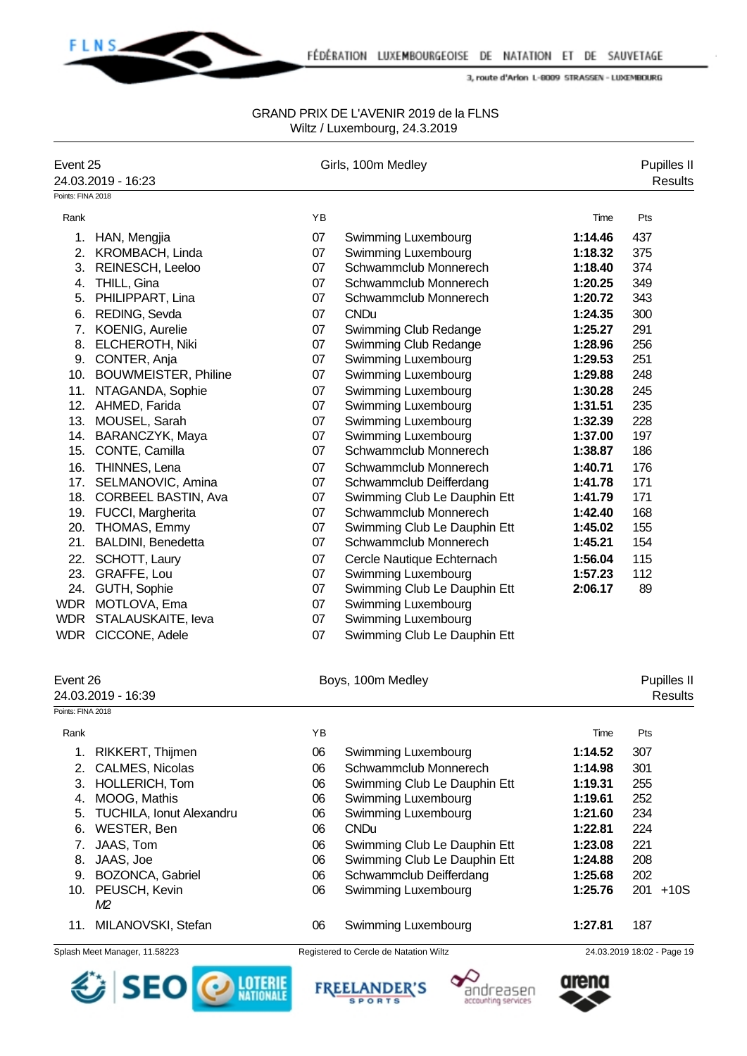

| Event 25          |                                 |    | Girls, 100m Medley                     |         | Pupilles II                   |
|-------------------|---------------------------------|----|----------------------------------------|---------|-------------------------------|
|                   | 24.03.2019 - 16:23              |    |                                        |         | <b>Results</b>                |
| Points: FINA 2018 |                                 |    |                                        |         |                               |
| Rank              |                                 | YB |                                        | Time    | Pts                           |
|                   | 1. HAN, Mengjia                 | 07 | Swimming Luxembourg                    | 1:14.46 | 437                           |
|                   | 2. KROMBACH, Linda              | 07 | Swimming Luxembourg                    | 1:18.32 | 375                           |
|                   | 3. REINESCH, Leeloo             | 07 | Schwammclub Monnerech                  | 1:18.40 | 374                           |
|                   | 4. THILL, Gina                  | 07 | Schwammclub Monnerech                  | 1:20.25 | 349                           |
|                   | 5. PHILIPPART, Lina             | 07 | Schwammclub Monnerech                  | 1:20.72 | 343                           |
| 6.                | REDING, Sevda                   | 07 | <b>CNDu</b>                            | 1:24.35 | 300                           |
| 7.                | KOENIG, Aurelie                 | 07 | Swimming Club Redange                  | 1:25.27 | 291                           |
| 8.                | ELCHEROTH, Niki                 | 07 | Swimming Club Redange                  | 1:28.96 | 256                           |
|                   | 9. CONTER, Anja                 | 07 | Swimming Luxembourg                    | 1:29.53 | 251                           |
|                   | 10. BOUWMEISTER, Philine        | 07 | Swimming Luxembourg                    | 1:29.88 | 248                           |
| 11.               | NTAGANDA, Sophie                | 07 | Swimming Luxembourg                    | 1:30.28 | 245                           |
| 12.               | AHMED, Farida                   | 07 | Swimming Luxembourg                    | 1:31.51 | 235                           |
| 13.               | MOUSEL, Sarah                   | 07 | Swimming Luxembourg                    | 1:32.39 | 228                           |
|                   | 14. BARANCZYK, Maya             | 07 | Swimming Luxembourg                    | 1:37.00 | 197                           |
| 15.               | CONTE, Camilla                  | 07 | Schwammclub Monnerech                  | 1:38.87 | 186                           |
| 16.               | THINNES, Lena                   | 07 | Schwammclub Monnerech                  | 1:40.71 | 176                           |
| 17.               | SELMANOVIC, Amina               | 07 | Schwammclub Deifferdang                | 1:41.78 | 171                           |
| 18.               | CORBEEL BASTIN, Ava             | 07 | Swimming Club Le Dauphin Ett           | 1:41.79 | 171                           |
|                   | 19. FUCCI, Margherita           | 07 | Schwammclub Monnerech                  | 1:42.40 | 168                           |
| 20.               | THOMAS, Emmy                    | 07 | Swimming Club Le Dauphin Ett           | 1:45.02 | 155                           |
| 21.               | BALDINI, Benedetta              | 07 | Schwammclub Monnerech                  | 1:45.21 | 154                           |
|                   | 22. SCHOTT, Laury               | 07 | Cercle Nautique Echternach             | 1:56.04 | 115                           |
|                   | 23. GRAFFE, Lou                 | 07 | Swimming Luxembourg                    | 1:57.23 | 112                           |
|                   | 24. GUTH, Sophie                | 07 | Swimming Club Le Dauphin Ett           | 2:06.17 | 89                            |
|                   | WDR MOTLOVA, Ema                | 07 | Swimming Luxembourg                    |         |                               |
| WDR               | STALAUSKAITE, leva              | 07 | Swimming Luxembourg                    |         |                               |
|                   | WDR CICCONE, Adele              | 07 | Swimming Club Le Dauphin Ett           |         |                               |
| Event 26          | 24.03.2019 - 16:39              |    | Boys, 100m Medley                      |         | Pupilles II<br><b>Results</b> |
| Points: FINA 2018 |                                 |    |                                        |         |                               |
| Rank              |                                 | YB |                                        | Time    | Pts                           |
| 1.                | RIKKERT, Thijmen                | 06 | Swimming Luxembourg                    | 1:14.52 | 307                           |
| 2.                | CALMES, Nicolas                 | 06 | Schwammclub Monnerech                  | 1:14.98 | 301                           |
| 3.                | HOLLERICH, Tom                  | 06 | Swimming Club Le Dauphin Ett           | 1:19.31 | 255                           |
| 4.                | MOOG, Mathis                    | 06 | Swimming Luxembourg                    | 1:19.61 | 252                           |
| 5.                | <b>TUCHILA, Ionut Alexandru</b> | 06 | Swimming Luxembourg                    | 1:21.60 | 234                           |
| 6.                | WESTER, Ben                     | 06 | <b>CNDu</b>                            | 1:22.81 | 224                           |
| 7.                | JAAS, Tom                       | 06 | Swimming Club Le Dauphin Ett           | 1:23.08 | 221                           |
|                   | 8. JAAS, Joe                    | 06 | Swimming Club Le Dauphin Ett           | 1:24.88 | 208                           |
|                   | 9. BOZONCA, Gabriel             | 06 | Schwammclub Deifferdang                | 1:25.68 | 202                           |
| 10.               | PEUSCH, Kevin                   | 06 | Swimming Luxembourg                    | 1:25.76 | 201 +10S                      |
|                   | M2                              |    |                                        |         |                               |
|                   | 11. MILANOVSKI, Stefan          | 06 | Swimming Luxembourg                    | 1:27.81 | 187                           |
|                   | Splash Meet Manager, 11.58223   |    | Registered to Cercle de Natation Wiltz |         | 24.03.2019 18:02 - Page 19    |







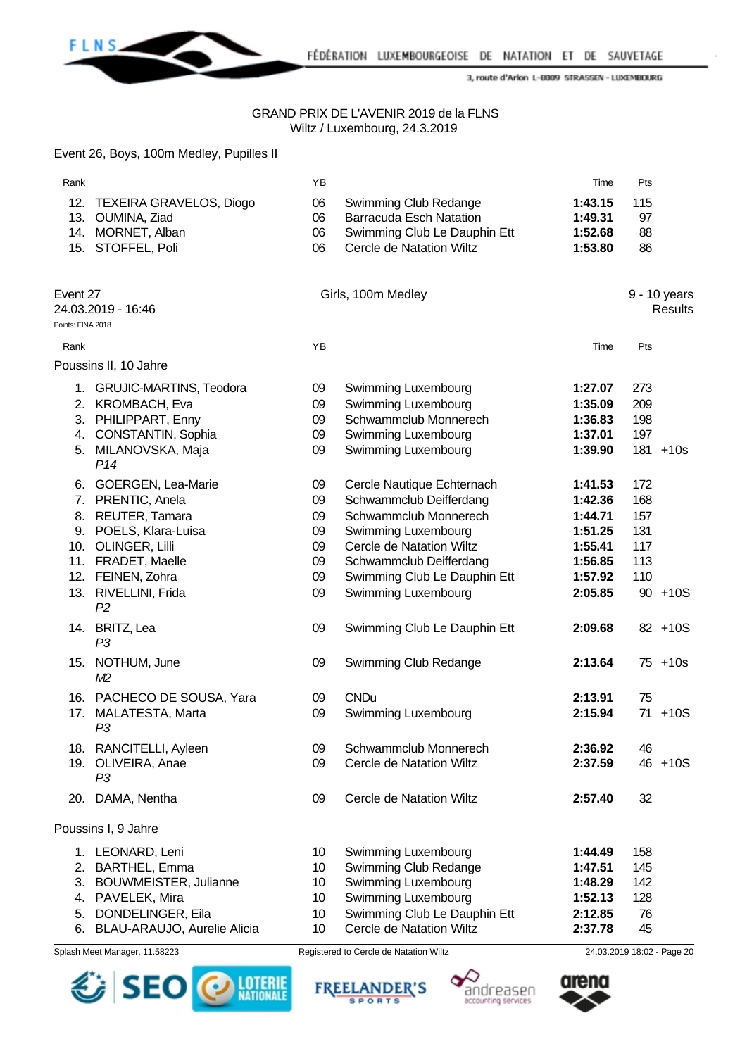

### GRAND PRIX DE L'AVENIR 2019 de la FLNS Wiltz / Luxembourg, 24.3.2019

|                               | Event 26, Boys, 100m Medley, Pupilles II |    |                                |         |     |                                |
|-------------------------------|------------------------------------------|----|--------------------------------|---------|-----|--------------------------------|
| Rank                          |                                          | YB |                                | Time    | Pts |                                |
| 12.                           | <b>TEXEIRA GRAVELOS, Diogo</b>           | 06 | Swimming Club Redange          | 1:43.15 | 115 |                                |
|                               | 13. OUMINA, Ziad                         | 06 | <b>Barracuda Esch Natation</b> | 1:49.31 | 97  |                                |
|                               | 14. MORNET, Alban                        | 06 | Swimming Club Le Dauphin Ett   | 1:52.68 | 88  |                                |
|                               | 15. STOFFEL, Poli                        | 06 | Cercle de Natation Wiltz       | 1:53.80 | 86  |                                |
| Event 27<br>Points: FINA 2018 | 24.03.2019 - 16:46                       |    | Girls, 100m Medley             |         |     | 9 - 10 years<br><b>Results</b> |
|                               |                                          |    |                                |         |     |                                |
| Rank                          |                                          | YB |                                | Time    | Pts |                                |
|                               | Poussins II, 10 Jahre                    |    |                                |         |     |                                |
|                               | 1. GRUJIC-MARTINS, Teodora               | 09 | Swimming Luxembourg            | 1:27.07 | 273 |                                |
|                               | 2. KROMBACH, Eva                         | 09 | Swimming Luxembourg            | 1:35.09 | 209 |                                |
|                               | 3. PHILIPPART, Enny                      | 09 | Schwammclub Monnerech          | 1:36.83 | 198 |                                |
|                               | 4. CONSTANTIN, Sophia                    | 09 | Swimming Luxembourg            | 1:37.01 | 197 |                                |
|                               | 5. MILANOVSKA, Maja<br>P <sub>14</sub>   | 09 | Swimming Luxembourg            | 1:39.90 |     | 181 +10s                       |
|                               | 6. GOERGEN, Lea-Marie                    | 09 | Cercle Nautique Echternach     | 1:41.53 | 172 |                                |
|                               | 7. PRENTIC, Anela                        | 09 | Schwammclub Deifferdang        | 1:42.36 | 168 |                                |
|                               | 8. REUTER, Tamara                        | 09 | Schwammclub Monnerech          | 1:44.71 | 157 |                                |
|                               | 9. POELS, Klara-Luisa                    | 09 | Swimming Luxembourg            | 1:51.25 | 131 |                                |
|                               | 10. OLINGER, Lilli                       | 09 | Cercle de Natation Wiltz       | 1:55.41 | 117 |                                |
|                               | 11. FRADET, Maelle                       | 09 | Schwammclub Deifferdang        | 1:56.85 | 113 |                                |
|                               | 12. FEINEN, Zohra                        | 09 | Swimming Club Le Dauphin Ett   | 1:57.92 | 110 |                                |
|                               | 13. RIVELLINI, Frida<br>P <sub>2</sub>   | 09 | Swimming Luxembourg            | 2:05.85 |     | $90 + 10S$                     |
|                               | 14. BRITZ, Lea<br>P <sub>3</sub>         | 09 | Swimming Club Le Dauphin Ett   | 2:09.68 |     | 82 +10S                        |
|                               | 15. NOTHUM, June                         | 09 | Swimming Club Redange          | 2:13.64 |     | $75 + 10s$                     |
|                               | M <sub>2</sub>                           |    |                                |         |     |                                |
|                               | 16. PACHECO DE SOUSA, Yara               | 09 | <b>CNDu</b>                    | 2:13.91 | 75  |                                |
|                               | 17. MALATESTA, Marta<br>P3               | 09 | Swimming Luxembourg            | 2:15.94 |     | 71 +10S                        |
|                               | 18. RANCITELLI, Ayleen                   | 09 | Schwammclub Monnerech          | 2:36.92 | 46  |                                |
|                               | 19. OLIVEIRA, Anae<br>P3                 | 09 | Cercle de Natation Wiltz       | 2:37.59 |     | 46 +10S                        |
|                               | 20. DAMA, Nentha                         | 09 | Cercle de Natation Wiltz       | 2:57.40 | 32  |                                |
|                               | Poussins I, 9 Jahre                      |    |                                |         |     |                                |
|                               | 1. LEONARD, Leni                         | 10 | Swimming Luxembourg            | 1:44.49 | 158 |                                |
|                               | 2. BARTHEL, Emma                         | 10 | Swimming Club Redange          | 1:47.51 | 145 |                                |
|                               | 3. BOUWMEISTER, Julianne                 | 10 | Swimming Luxembourg            | 1:48.29 | 142 |                                |
|                               | 4. PAVELEK, Mira                         | 10 | Swimming Luxembourg            | 1:52.13 | 128 |                                |
|                               | 5. DONDELINGER, Eila                     | 10 | Swimming Club Le Dauphin Ett   | 2:12.85 | 76  |                                |
|                               | 6. BLAU-ARAUJO, Aurelie Alicia           | 10 | Cercle de Natation Wiltz       | 2:37.78 | 45  |                                |







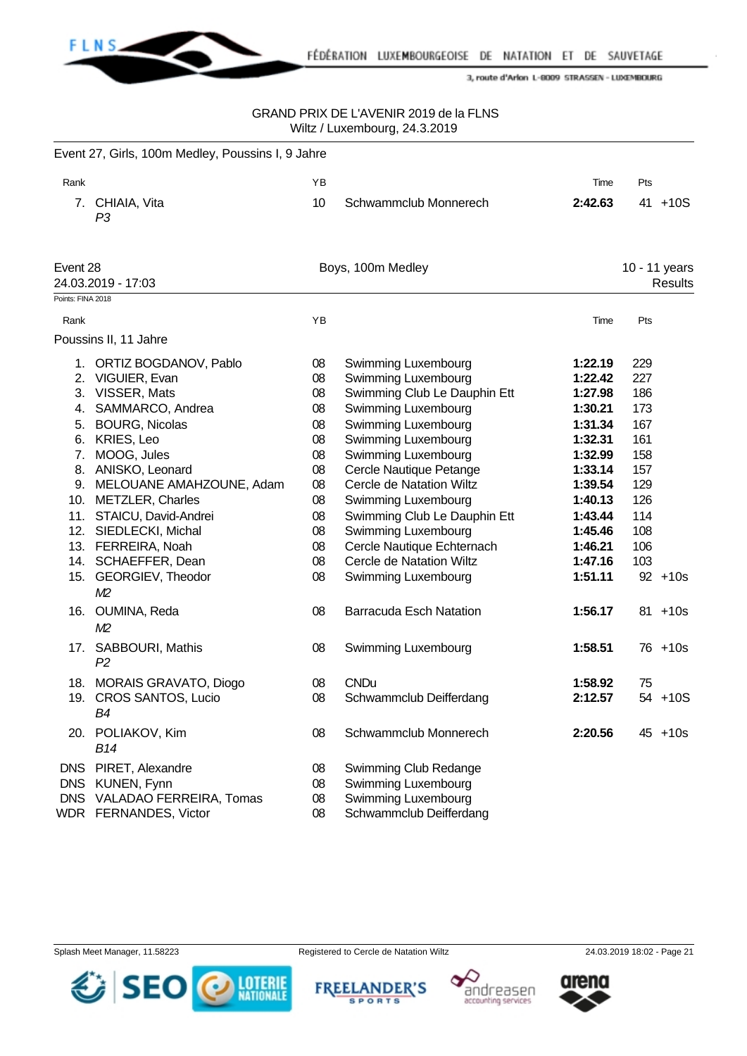

### GRAND PRIX DE L'AVENIR 2019 de la FLNS Wiltz / Luxembourg, 24.3.2019

|                          | Event 27, Girls, 100m Medley, Poussins I, 9 Jahre                                                                                                                                                                                                                                                                                                                                         |                                                                                              |                                                                                                                                                                                                                                                                                                                                                                                                                                              |                                                                                                                                                                              |                                                                                                      |                          |
|--------------------------|-------------------------------------------------------------------------------------------------------------------------------------------------------------------------------------------------------------------------------------------------------------------------------------------------------------------------------------------------------------------------------------------|----------------------------------------------------------------------------------------------|----------------------------------------------------------------------------------------------------------------------------------------------------------------------------------------------------------------------------------------------------------------------------------------------------------------------------------------------------------------------------------------------------------------------------------------------|------------------------------------------------------------------------------------------------------------------------------------------------------------------------------|------------------------------------------------------------------------------------------------------|--------------------------|
| Rank                     |                                                                                                                                                                                                                                                                                                                                                                                           | YB                                                                                           |                                                                                                                                                                                                                                                                                                                                                                                                                                              | Time                                                                                                                                                                         | Pts                                                                                                  |                          |
|                          | 7. CHIAIA, Vita<br>P <sub>3</sub>                                                                                                                                                                                                                                                                                                                                                         | 10                                                                                           | Schwammclub Monnerech                                                                                                                                                                                                                                                                                                                                                                                                                        | 2:42.63                                                                                                                                                                      | 41                                                                                                   | $+10S$                   |
| Event 28                 | 24.03.2019 - 17:03                                                                                                                                                                                                                                                                                                                                                                        |                                                                                              | Boys, 100m Medley                                                                                                                                                                                                                                                                                                                                                                                                                            |                                                                                                                                                                              |                                                                                                      | 10 - 11 years<br>Results |
| Points: FINA 2018        |                                                                                                                                                                                                                                                                                                                                                                                           |                                                                                              |                                                                                                                                                                                                                                                                                                                                                                                                                                              |                                                                                                                                                                              |                                                                                                      |                          |
| Rank                     |                                                                                                                                                                                                                                                                                                                                                                                           | YB                                                                                           |                                                                                                                                                                                                                                                                                                                                                                                                                                              | Time                                                                                                                                                                         | Pts                                                                                                  |                          |
|                          | Poussins II, 11 Jahre                                                                                                                                                                                                                                                                                                                                                                     |                                                                                              |                                                                                                                                                                                                                                                                                                                                                                                                                                              |                                                                                                                                                                              |                                                                                                      |                          |
| 7.                       | 1. ORTIZ BOGDANOV, Pablo<br>2. VIGUIER, Evan<br>3. VISSER, Mats<br>4. SAMMARCO, Andrea<br>5. BOURG, Nicolas<br>6. KRIES, Leo<br>MOOG, Jules<br>8. ANISKO, Leonard<br>9. MELOUANE AMAHZOUNE, Adam<br>10. METZLER, Charles<br>11. STAICU, David-Andrei<br>12. SIEDLECKI, Michal<br>13. FERREIRA, Noah<br>14. SCHAEFFER, Dean<br>15. GEORGIEV, Theodor<br>M <sub>2</sub><br>16. OUMINA, Reda | 08<br>08<br>08<br>08<br>08<br>08<br>08<br>08<br>08<br>08<br>08<br>08<br>08<br>08<br>08<br>08 | <b>Swimming Luxembourg</b><br>Swimming Luxembourg<br>Swimming Club Le Dauphin Ett<br>Swimming Luxembourg<br>Swimming Luxembourg<br><b>Swimming Luxembourg</b><br>Swimming Luxembourg<br>Cercle Nautique Petange<br>Cercle de Natation Wiltz<br>Swimming Luxembourg<br>Swimming Club Le Dauphin Ett<br>Swimming Luxembourg<br>Cercle Nautique Echternach<br>Cercle de Natation Wiltz<br>Swimming Luxembourg<br><b>Barracuda Esch Natation</b> | 1:22.19<br>1:22.42<br>1:27.98<br>1:30.21<br>1:31.34<br>1:32.31<br>1:32.99<br>1:33.14<br>1:39.54<br>1:40.13<br>1:43.44<br>1:45.46<br>1:46.21<br>1:47.16<br>1:51.11<br>1:56.17 | 229<br>227<br>186<br>173<br>167<br>161<br>158<br>157<br>129<br>126<br>114<br>108<br>106<br>103<br>81 | $92 + 10s$<br>$+10s$     |
|                          | M <sub>2</sub><br>17. SABBOURI, Mathis<br>P <sub>2</sub>                                                                                                                                                                                                                                                                                                                                  | 08                                                                                           | Swimming Luxembourg                                                                                                                                                                                                                                                                                                                                                                                                                          | 1:58.51                                                                                                                                                                      |                                                                                                      | 76 +10s                  |
|                          | 18. MORAIS GRAVATO, Diogo<br>19. CROS SANTOS, Lucio<br>B4                                                                                                                                                                                                                                                                                                                                 | 08<br>08                                                                                     | <b>CNDu</b><br>Schwammclub Deifferdang                                                                                                                                                                                                                                                                                                                                                                                                       | 1:58.92<br>2:12.57                                                                                                                                                           | 75                                                                                                   | 54 +10S                  |
|                          | 20. POLIAKOV, Kim<br><b>B14</b>                                                                                                                                                                                                                                                                                                                                                           | 08                                                                                           | Schwammclub Monnerech                                                                                                                                                                                                                                                                                                                                                                                                                        | 2:20.56                                                                                                                                                                      |                                                                                                      | $45 + 10s$               |
| <b>DNS</b><br><b>DNS</b> | PIRET, Alexandre<br>KUNEN, Fynn<br>DNS VALADAO FERREIRA, Tomas<br>WDR FERNANDES, Victor                                                                                                                                                                                                                                                                                                   | 08<br>08<br>08<br>08                                                                         | Swimming Club Redange<br>Swimming Luxembourg<br>Swimming Luxembourg<br>Schwammclub Deifferdang                                                                                                                                                                                                                                                                                                                                               |                                                                                                                                                                              |                                                                                                      |                          |







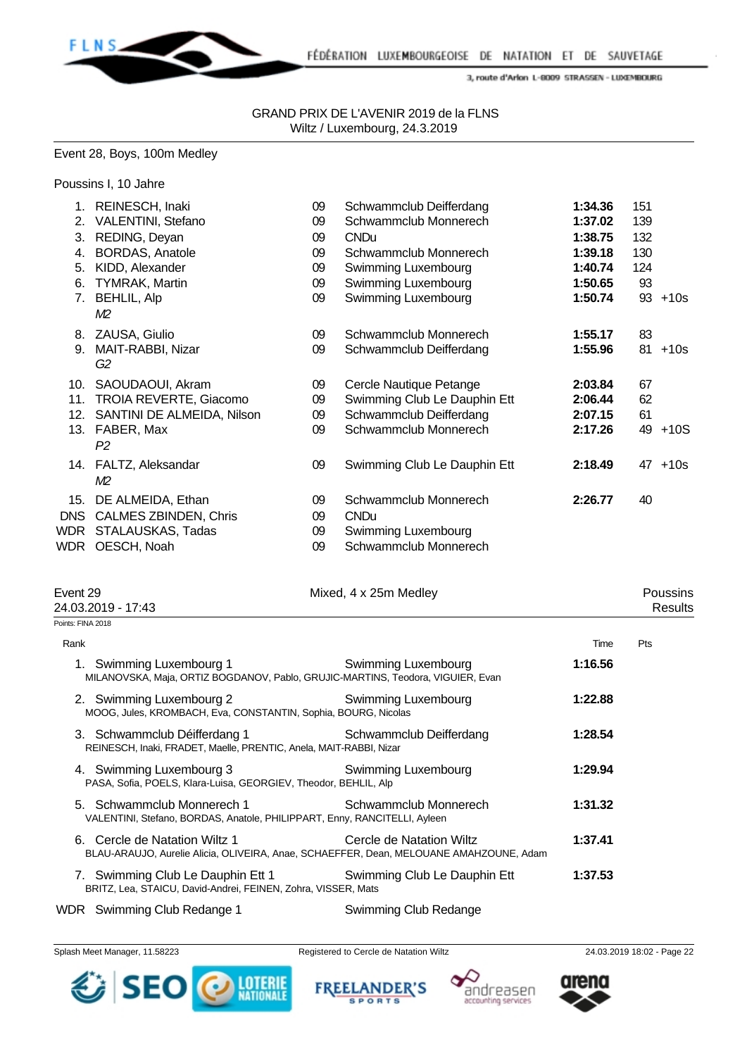

 GRAND PRIX DE L'AVENIR 2019 de la FLNS Wiltz / Luxembourg, 24.3.2019

#### Event 28, Boys, 100m Medley

Poussins I, 10 Jahre

| 1.   | REINESCH, Inaki              | 09 | Schwammclub Deifferdang      | 1:34.36 | 151 |        |
|------|------------------------------|----|------------------------------|---------|-----|--------|
| 2.   | <b>VALENTINI, Stefano</b>    | 09 | Schwammclub Monnerech        | 1:37.02 | 139 |        |
| 3.   | REDING, Deyan                | 09 | <b>CNDu</b>                  | 1:38.75 | 132 |        |
| 4.   | <b>BORDAS, Anatole</b>       | 09 | Schwammclub Monnerech        | 1:39.18 | 130 |        |
| 5.   | KIDD, Alexander              | 09 | Swimming Luxembourg          | 1:40.74 | 124 |        |
| 6.   | <b>TYMRAK, Martin</b>        | 09 | Swimming Luxembourg          | 1:50.65 | 93  |        |
| 7.   | <b>BEHLIL, Alp</b>           | 09 | Swimming Luxembourg          | 1:50.74 | 93  | $+10s$ |
|      | M2                           |    |                              |         |     |        |
| 8.   | ZAUSA, Giulio                | 09 | Schwammclub Monnerech        | 1:55.17 | 83  |        |
| 9.   | MAIT-RABBI, Nizar            | 09 | Schwammclub Deifferdang      | 1:55.96 | 81  | $+10s$ |
|      | G2                           |    |                              |         |     |        |
| 10.  | SAOUDAOUI, Akram             | 09 | Cercle Nautique Petange      | 2:03.84 | 67  |        |
| 11.  | TROIA REVERTE, Giacomo       | 09 | Swimming Club Le Dauphin Ett | 2:06.44 | 62  |        |
| 12.  | SANTINI DE ALMEIDA, Nilson   | 09 | Schwammclub Deifferdang      | 2:07.15 | 61  |        |
| 13.  | FABER, Max                   | 09 | Schwammclub Monnerech        | 2:17.26 | 49  | $+10S$ |
|      | P <sub>2</sub>               |    |                              |         |     |        |
|      | 14. FALTZ, Aleksandar        | 09 | Swimming Club Le Dauphin Ett | 2:18.49 | 47  | $+10s$ |
|      | M2                           |    |                              |         |     |        |
| 15.  | DE ALMEIDA, Ethan            | 09 | Schwammclub Monnerech        | 2:26.77 | 40  |        |
| DNS. | <b>CALMES ZBINDEN, Chris</b> | 09 | <b>CNDu</b>                  |         |     |        |
| WDR. | STALAUSKAS, Tadas            | 09 | Swimming Luxembourg          |         |     |        |
|      | WDR OESCH, Noah              | 09 | Schwammclub Monnerech        |         |     |        |

| Event 29<br>24.03.2019 - 17:43                                                             | Mixed, 4 x 25m Medley                                                                                                                            |         |     |
|--------------------------------------------------------------------------------------------|--------------------------------------------------------------------------------------------------------------------------------------------------|---------|-----|
| Points: FINA 2018                                                                          |                                                                                                                                                  |         |     |
| Rank                                                                                       |                                                                                                                                                  | Time    | Pts |
|                                                                                            | 1. Swimming Luxembourg 1 Swimming Luxembourg<br>MILANOVSKA, Maja, ORTIZ BOGDANOV, Pablo, GRUJIC-MARTINS, Teodora, VIGUIER, Evan                  | 1:16.56 |     |
| 2. Swimming Luxembourg 2<br>MOOG, Jules, KROMBACH, Eva, CONSTANTIN, Sophia, BOURG, Nicolas | Swimming Luxembourg                                                                                                                              | 1:22.88 |     |
| REINESCH, Inaki, FRADET, Maelle, PRENTIC, Anela, MAIT-RABBI, Nizar                         | 3. Schwammclub Déifferdang 1 Schwammclub Deifferdang                                                                                             | 1:28.54 |     |
| PASA, Sofia, POELS, Klara-Luisa, GEORGIEV, Theodor, BEHLIL, Alp                            | 4. Swimming Luxembourg 3 Swimming Luxembourg                                                                                                     | 1:29.94 |     |
| 5. Schwammclub Monnerech 1                                                                 | Schwammclub Monnerech<br>VALENTINI, Stefano, BORDAS, Anatole, PHILIPPART, Enny, RANCITELLI, Ayleen                                               | 1:31.32 |     |
|                                                                                            | 6. Cercle de Natation Wiltz 1 Cercle de Natation Wiltz<br>BLAU-ARAUJO, Aurelie Alicia, OLIVEIRA, Anae, SCHAEFFER, Dean, MELOUANE AMAHZOUNE, Adam | 1:37.41 |     |
| BRITZ, Lea, STAICU, David-Andrei, FEINEN, Zohra, VISSER, Mats                              | 7. Swimming Club Le Dauphin Ett 1 Swimming Club Le Dauphin Ett                                                                                   | 1:37.53 |     |
|                                                                                            | $\mathbf{u}$                                                                                                                                     |         |     |

WDR Swimming Club Redange 1 Swimming Club Redange

Splash Meet Manager, 11.58223 Registered to Cercle de Natation Wiltz 24.03.2019 18:02 - Page 22



**FREELANDER'S SPORTS** 



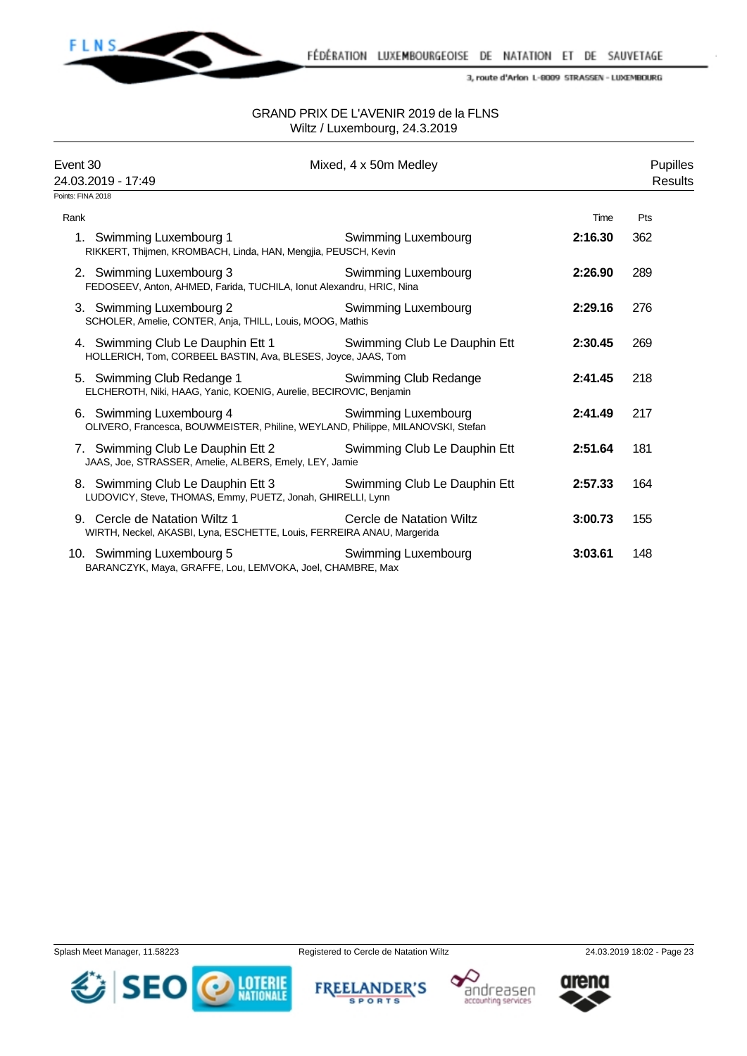

| Event 30<br>24.03.2019 - 17:49<br>Points: FINA 2018    | Mixed, 4 x 50m Medley                                                                                                           |         | <b>Pupilles</b><br><b>Results</b> |
|--------------------------------------------------------|---------------------------------------------------------------------------------------------------------------------------------|---------|-----------------------------------|
| Rank                                                   |                                                                                                                                 | Time    | Pts                               |
| 1. Swimming Luxembourg 1                               | <b>Swimming Luxembourg</b><br>RIKKERT, Thijmen, KROMBACH, Linda, HAN, Mengjia, PEUSCH, Kevin                                    | 2:16.30 | 362                               |
| 2. Swimming Luxembourg 3                               | Swimming Luxembourg<br>FEDOSEEV, Anton, AHMED, Farida, TUCHILA, Ionut Alexandru, HRIC, Nina                                     | 2:26.90 | 289                               |
| 3. Swimming Luxembourg 2                               | <b>Swimming Luxembourg</b><br>SCHOLER, Amelie, CONTER, Anja, THILL, Louis, MOOG, Mathis                                         | 2:29.16 | 276                               |
|                                                        | 4. Swimming Club Le Dauphin Ett 1 Swimming Club Le Dauphin Ett<br>HOLLERICH, Tom, CORBEEL BASTIN, Ava, BLESES, Joyce, JAAS, Tom | 2:30.45 | 269                               |
| 5. Swimming Club Redange 1                             | <b>Swimming Club Redange</b><br>ELCHEROTH, Niki, HAAG, Yanic, KOENIG, Aurelie, BECIROVIC, Benjamin                              | 2:41.45 | 218                               |
| 6. Swimming Luxembourg 4                               | Swimming Luxembourg<br>OLIVERO, Francesca, BOUWMEISTER, Philine, WEYLAND, Philippe, MILANOVSKI, Stefan                          | 2:41.49 | 217                               |
| JAAS, Joe, STRASSER, Amelie, ALBERS, Emely, LEY, Jamie | 7. Swimming Club Le Dauphin Ett 2 Swimming Club Le Dauphin Ett                                                                  | 2:51.64 | 181                               |
|                                                        | 8. Swimming Club Le Dauphin Ett 3 Swimming Club Le Dauphin Ett<br>LUDOVICY, Steve, THOMAS, Emmy, PUETZ, Jonah, GHIRELLI, Lynn   | 2:57.33 | 164                               |
| 9. Cercle de Natation Wiltz 1                          | Cercle de Natation Wiltz<br>WIRTH, Neckel, AKASBI, Lyna, ESCHETTE, Louis, FERREIRA ANAU, Margerida                              | 3:00.73 | 155                               |
| 10. Swimming Luxembourg 5                              | Swimming Luxembourg<br>BARANCZYK, Maya, GRAFFE, Lou, LEMVOKA, Joel, CHAMBRE, Max                                                | 3:03.61 | 148                               |







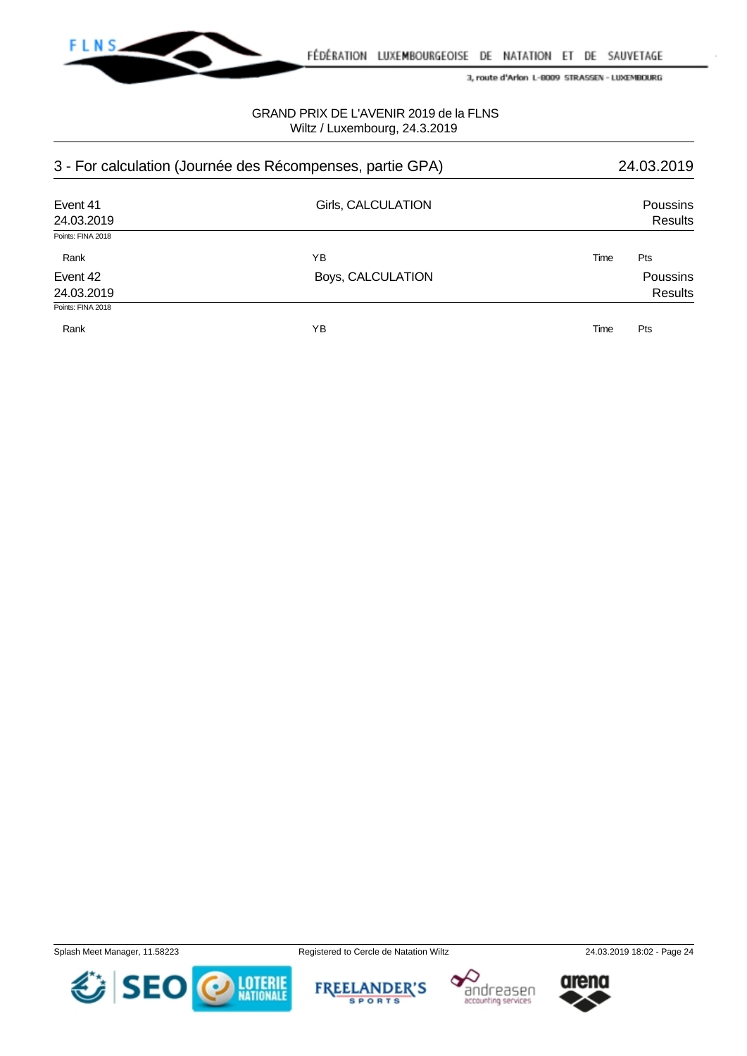

FÉDÉRATION LUXEMBOURGEOISE DE NATATION ET DE SAUVETAGE

3, route d'Arlon L-8009 STRASSEN - LUXEMBOURG

## GRAND PRIX DE L'AVENIR 2019 de la FLNS Wiltz / Luxembourg, 24.3.2019

| 3 - For calculation (Journée des Récompenses, partie GPA) |                    | 24.03.2019 |                            |
|-----------------------------------------------------------|--------------------|------------|----------------------------|
| Event 41<br>24.03.2019                                    | Girls, CALCULATION |            | <b>Poussins</b><br>Results |
| Points: FINA 2018                                         |                    |            |                            |
| Rank                                                      | ΥB                 | Time       | Pts                        |
| Event 42                                                  | Boys, CALCULATION  |            | <b>Poussins</b>            |
| 24.03.2019                                                |                    |            | <b>Results</b>             |
| Points: FINA 2018                                         |                    |            |                            |
| Rank                                                      | ΥB                 | Time       | Pts                        |